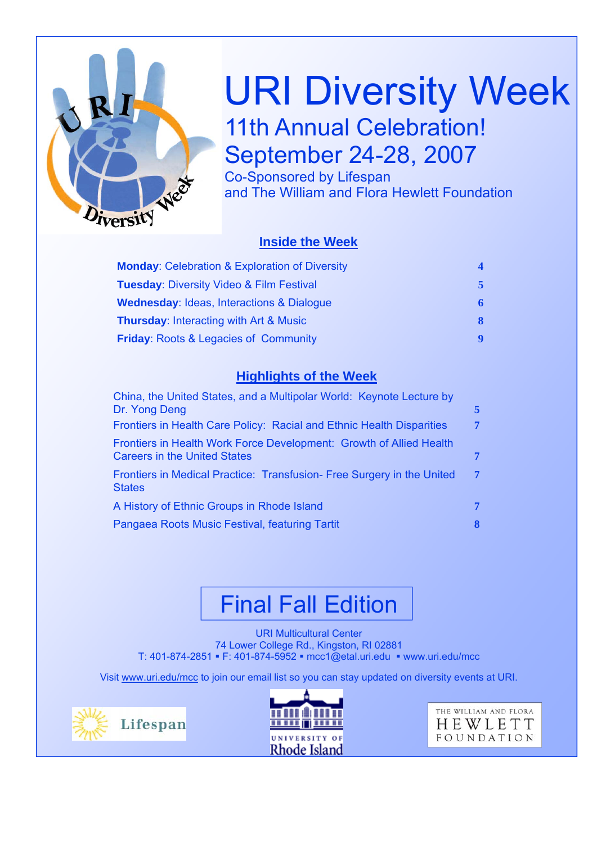

# URI Diversity Week 11th Annual Celebration! September 24-28, 2007

Co-Sponsored by Lifespan and The William and Flora Hewlett Foundation

#### **Inside the Week**

| <b>Monday: Celebration &amp; Exploration of Diversity</b> |    |
|-----------------------------------------------------------|----|
| <b>Tuesday: Diversity Video &amp; Film Festival</b>       |    |
| <b>Wednesday: Ideas, Interactions &amp; Dialogue</b>      | 6  |
| <b>Thursday: Interacting with Art &amp; Music</b>         | 8. |
| <b>Friday: Roots &amp; Legacies of Community</b>          |    |

#### **Highlights of the Week**

| China, the United States, and a Multipolar World: Keynote Lecture by<br>Dr. Yong Deng                      | 5. |
|------------------------------------------------------------------------------------------------------------|----|
| Frontiers in Health Care Policy: Racial and Ethnic Health Disparities                                      | 7  |
| Frontiers in Health Work Force Development: Growth of Allied Health<br><b>Careers in the United States</b> | 7  |
| Frontiers in Medical Practice: Transfusion- Free Surgery in the United<br><b>States</b>                    | 7  |
| A History of Ethnic Groups in Rhode Island                                                                 | 7  |
| Pangaea Roots Music Festival, featuring Tartit                                                             | 8  |
|                                                                                                            |    |

# Final Fall Edition

URI Multicultural Center 74 Lower College Rd., Kingston, RI 02881 T: 401-874-2851 F: 401-874-5952 mcc1@etal.uri.edu www.uri.edu/mcc

Visit www.uri.edu/mcc to join our email list so you can stay updated on diversity events at URI.





THE WILLIAM AND FLORA HEWLETT FOUNDATION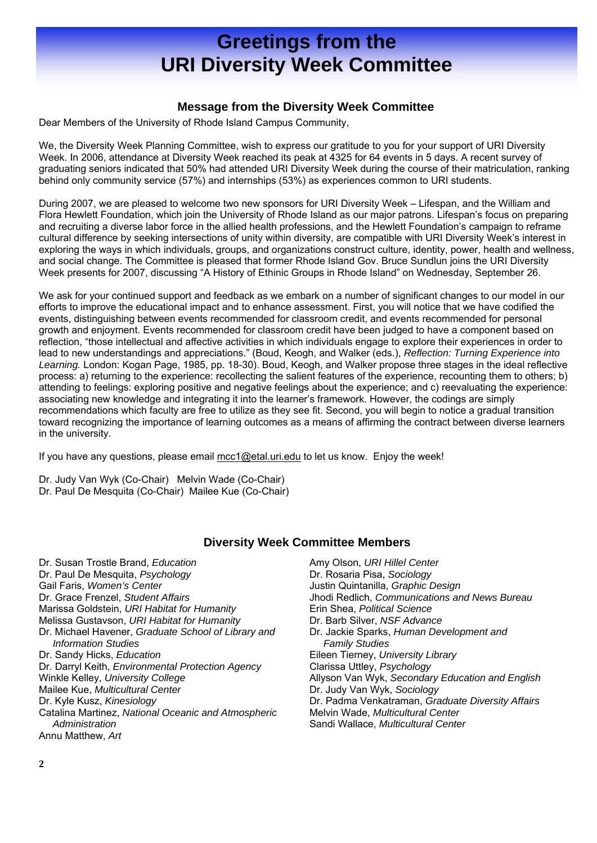### **Greetings from the URI Diversity Week Committee**

#### **Message from the Diversity Week Committee**

Dear Members of the University of Rhode Island Campus Community,

We, the Diversity Week Planning Committee, wish to express our gratitude to you for your support of URI Diversity Week. In 2006, attendance at Diversity Week reached its peak at 4325 for 64 events in 5 days. A recent survey of graduating seniors indicated that 50% had attended URI Diversity Week during the course of their matriculation, ranking behind only community service (57%) and internships (53%) as experiences common to URI students.

During 2007, we are pleased to welcome two new sponsors for URI Diversity Week – Lifespan, and the William and Flora Hewlett Foundation, which join the University of Rhode Island as our major patrons. Lifespan's focus on preparing and recruiting a diverse labor force in the allied health professions, and the Hewlett Foundation's campaign to reframe cultural difference by seeking intersections of unity within diversity, are compatible with URI Diversity Week's interest in exploring the ways in which individuals, groups, and organizations construct culture, identity, power, health and wellness, and social change. The Committee is pleased that former Rhode Island Gov. Bruce Sundlun joins the URI Diversity Week presents for 2007, discussing "A History of Ethinic Groups in Rhode Island" on Wednesday, September 26.

We ask for your continued support and feedback as we embark on a number of significant changes to our model in our efforts to improve the educational impact and to enhance assessment. First, you will notice that we have codified the events, distinguishing between events recommended for classroom credit, and events recommended for personal growth and enjoyment. Events recommended for classroom credit have been judged to have a component based on reflection, "those intellectual and affective activities in which individuals engage to explore their experiences in order to lead to new understandings and appreciations." (Boud, Keogh, and Walker (eds.), *Reflection: Turning Experience into Learning.* London: Kogan Page, 1985, pp. 18-30). Boud, Keogh, and Walker propose three stages in the ideal reflective process: a) returning to the experience: recollecting the salient features of the experience, recounting them to others; b) attending to feelings: exploring positive and negative feelings about the experience; and c) reevaluating the experience: associating new knowledge and integrating it into the learner's framework. However, the codings are simply recommendations which faculty are free to utilize as they see fit. Second, you will begin to notice a gradual transition toward recognizing the importance of learning outcomes as a means of affirming the contract between diverse learners in the university.

If you have any questions, please email mcc1@etal.uri.edu to let us know. Enjoy the week!

Dr. Judy Van Wyk (Co-Chair) Melvin Wade (Co-Chair) Dr. Paul De Mesquita (Co-Chair) Mailee Kue (Co-Chair)

#### **Diversity Week Committee Members**

Dr. Susan Trostle Brand, *Education* Dr. Paul De Mesquita, *Psychology* Gail Faris, *Women's Center*  Dr. Grace Frenzel, *Student Affairs* Marissa Goldstein, *URI Habitat for Humanity* Melissa Gustavson, *URI Habitat for Humanity* Dr. Michael Havener, *Graduate School of Library and Information Studies* Dr. Sandy Hicks, *Education* Dr. Darryl Keith, *Environmental Protection Agency* Winkle Kelley, *University College* Mailee Kue, *Multicultural Center* Dr. Kyle Kusz, *Kinesiology* Catalina Martinez, *National Oceanic and Atmospheric Administration*

Annu Matthew, *Art*

eanic and Atmospheric **Melvin Wade, Multicultural Center Argamen 20 Except and Sandi Wallace,** *Multicultural Center*<br> **And Intervention** Amy Olson, *URI Hillel Center* Dr. Rosaria Pisa, *Sociology* Justin Quintanilla, *Graphic Design* Jhodi Redlich, *Communications and News Bureau* Erin Shea, *Political Science* Dr. Barb Silver, *NSF Advance* Dr. Jackie Sparks, *Human Development and Family Studies* Eileen Tierney, *University Library* Clarissa Uttley, *Psychology* Allyson Van Wyk, *Secondary Education and English* Dr. Judy Van Wyk, *Sociology* Dr. Padma Venkatraman, *Graduate Diversity Affairs*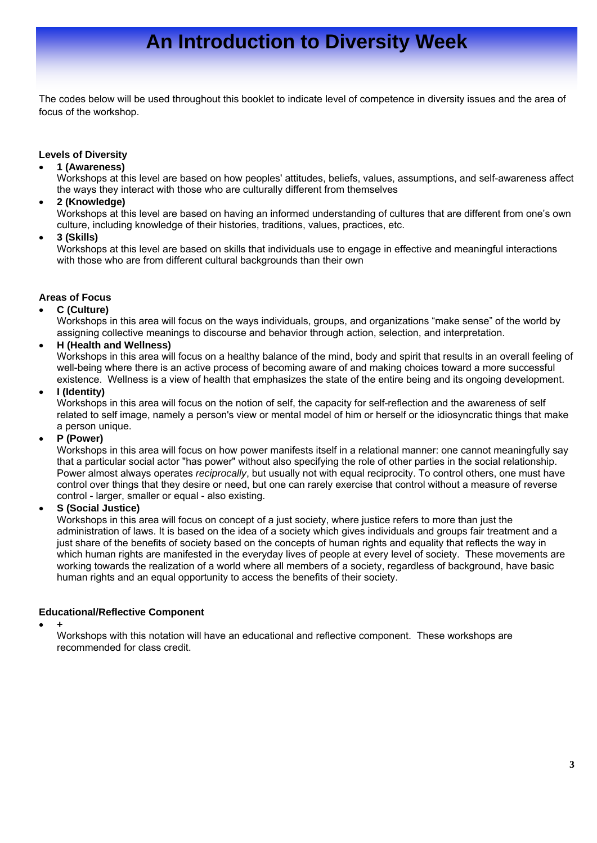# **An Introduction to Diversity Week**

The codes below will be used throughout this booklet to indicate level of competence in diversity issues and the area of focus of the workshop.

#### **Levels of Diversity**

• **1 (Awareness)** 

Workshops at this level are based on how peoples' attitudes, beliefs, values, assumptions, and self-awareness affect the ways they interact with those who are culturally different from themselves

• **2 (Knowledge)** 

Workshops at this level are based on having an informed understanding of cultures that are different from one's own culture, including knowledge of their histories, traditions, values, practices, etc.

• **3 (Skills)** 

Workshops at this level are based on skills that individuals use to engage in effective and meaningful interactions with those who are from different cultural backgrounds than their own

#### **Areas of Focus**

• **C (Culture)**

Workshops in this area will focus on the ways individuals, groups, and organizations "make sense" of the world by assigning collective meanings to discourse and behavior through action, selection, and interpretation.

• **H (Health and Wellness)** 

Workshops in this area will focus on a healthy balance of the mind, body and spirit that results in an overall feeling of well-being where there is an active process of becoming aware of and making choices toward a more successful existence. Wellness is a view of health that emphasizes the state of the entire being and its ongoing development.

• **I (Identity)**

Workshops in this area will focus on the notion of self, the capacity for self-reflection and the awareness of self related to self image, namely a person's view or mental model of him or herself or the idiosyncratic things that make a person unique.

• **P (Power)**

Workshops in this area will focus on how power manifests itself in a relational manner: one cannot meaningfully say that a particular social actor "has power" without also specifying the role of other parties in the social relationship. Power almost always operates *reciprocally*, but usually not with equal reciprocity. To control others, one must have control over things that they desire or need, but one can rarely exercise that control without a measure of reverse control - larger, smaller or equal - also existing.

• **S (Social Justice)** 

Workshops in this area will focus on concept of a just society, where justice refers to more than just the administration of laws. It is based on the idea of a society which gives individuals and groups fair treatment and a just share of the benefits of society based on the concepts of human rights and equality that reflects the way in which human rights are manifested in the everyday lives of people at every level of society. These movements are working towards the realization of a world where all members of a society, regardless of background, have basic human rights and an equal opportunity to access the benefits of their society.

#### **Educational/Reflective Component**

• **+** 

Workshops with this notation will have an educational and reflective component. These workshops are recommended for class credit.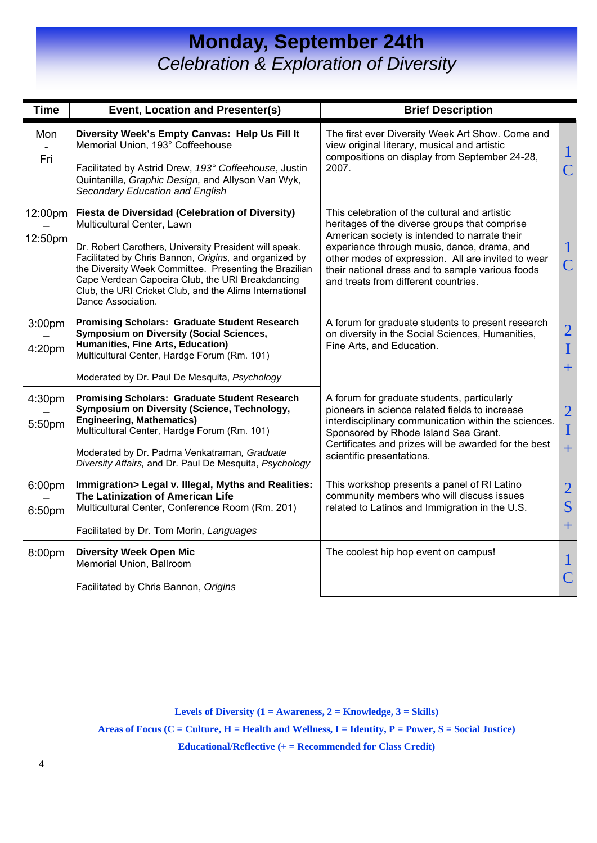### **Monday, September 24th**  *Celebration & Exploration of Diversity*

| <b>Time</b>        | <b>Event, Location and Presenter(s)</b>                                                                                                                                                                                                                                                                                                                                                          | <b>Brief Description</b>                                                                                                                                                                                                                                                                                                                         |                                               |
|--------------------|--------------------------------------------------------------------------------------------------------------------------------------------------------------------------------------------------------------------------------------------------------------------------------------------------------------------------------------------------------------------------------------------------|--------------------------------------------------------------------------------------------------------------------------------------------------------------------------------------------------------------------------------------------------------------------------------------------------------------------------------------------------|-----------------------------------------------|
| Mon<br>Fri         | Diversity Week's Empty Canvas: Help Us Fill It<br>Memorial Union, 193° Coffeehouse<br>Facilitated by Astrid Drew, 193° Coffeehouse, Justin<br>Quintanilla, Graphic Design, and Allyson Van Wyk,<br>Secondary Education and English                                                                                                                                                               | The first ever Diversity Week Art Show. Come and<br>view original literary, musical and artistic<br>compositions on display from September 24-28,<br>2007.                                                                                                                                                                                       | 1<br>$\overline{\mathsf{C}}$                  |
| 12:00pm<br>12:50pm | Fiesta de Diversidad (Celebration of Diversity)<br>Multicultural Center, Lawn<br>Dr. Robert Carothers, University President will speak.<br>Facilitated by Chris Bannon, Origins, and organized by<br>the Diversity Week Committee. Presenting the Brazilian<br>Cape Verdean Capoeira Club, the URI Breakdancing<br>Club, the URI Cricket Club, and the Alima International<br>Dance Association. | This celebration of the cultural and artistic<br>heritages of the diverse groups that comprise<br>American society is intended to narrate their<br>experience through music, dance, drama, and<br>other modes of expression. All are invited to wear<br>their national dress and to sample various foods<br>and treats from different countries. | $\overline{\mathsf{C}}$                       |
| 3:00pm<br>4:20pm   | <b>Promising Scholars: Graduate Student Research</b><br><b>Symposium on Diversity (Social Sciences,</b><br>Humanities, Fine Arts, Education)<br>Multicultural Center, Hardge Forum (Rm. 101)<br>Moderated by Dr. Paul De Mesquita, Psychology                                                                                                                                                    | A forum for graduate students to present research<br>on diversity in the Social Sciences, Humanities,<br>Fine Arts, and Education.                                                                                                                                                                                                               | $\overline{2}$<br>$\overline{I}$<br>$+$       |
| 4:30pm<br>5:50pm   | <b>Promising Scholars: Graduate Student Research</b><br>Symposium on Diversity (Science, Technology,<br><b>Engineering, Mathematics)</b><br>Multicultural Center, Hardge Forum (Rm. 101)<br>Moderated by Dr. Padma Venkatraman, Graduate<br>Diversity Affairs, and Dr. Paul De Mesquita, Psychology                                                                                              | A forum for graduate students, particularly<br>pioneers in science related fields to increase<br>interdisciplinary communication within the sciences.<br>Sponsored by Rhode Island Sea Grant.<br>Certificates and prizes will be awarded for the best<br>scientific presentations.                                                               | $\overline{c}$<br>$\overline{I}$<br>$\ddot{}$ |
| 6:00pm<br>6:50pm   | Immigration> Legal v. Illegal, Myths and Realities:<br>The Latinization of American Life<br>Multicultural Center, Conference Room (Rm. 201)<br>Facilitated by Dr. Tom Morin, Languages                                                                                                                                                                                                           | This workshop presents a panel of RI Latino<br>community members who will discuss issues<br>related to Latinos and Immigration in the U.S.                                                                                                                                                                                                       | $\overline{2}$<br>S<br>$+$                    |
| 8:00pm             | <b>Diversity Week Open Mic</b><br>Memorial Union, Ballroom<br>Facilitated by Chris Bannon, Origins                                                                                                                                                                                                                                                                                               | The coolest hip hop event on campus!                                                                                                                                                                                                                                                                                                             | $\overline{\textsf{C}}$                       |

**Levels of Diversity (1 = Awareness, 2 = Knowledge, 3 = Skills)** 

**Areas of Focus (C = Culture, H = Health and Wellness, I = Identity, P = Power, S = Social Justice)** 

**Educational/Reflective (+ = Recommended for Class Credit)**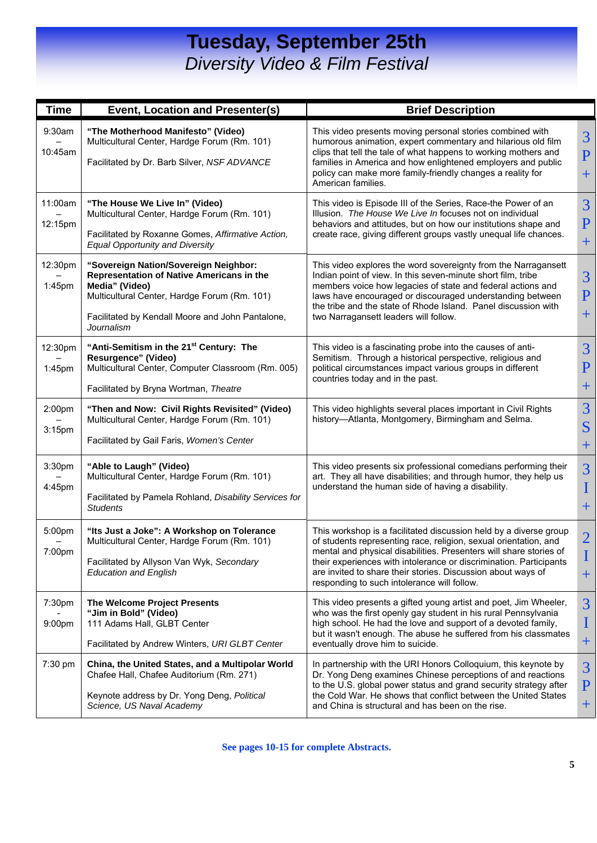### **Tuesday, September 25th**  *Diversity Video & Film Festival*

| <b>Time</b>        | Event, Location and Presenter(s)                                                                                                                                                                                       | <b>Brief Description</b>                                                                                                                                                                                                                                                                                                                                                                         |                                        |
|--------------------|------------------------------------------------------------------------------------------------------------------------------------------------------------------------------------------------------------------------|--------------------------------------------------------------------------------------------------------------------------------------------------------------------------------------------------------------------------------------------------------------------------------------------------------------------------------------------------------------------------------------------------|----------------------------------------|
| 9:30am<br>10:45am  | "The Motherhood Manifesto" (Video)<br>Multicultural Center, Hardge Forum (Rm. 101)<br>Facilitated by Dr. Barb Silver, NSF ADVANCE                                                                                      | This video presents moving personal stories combined with<br>humorous animation, expert commentary and hilarious old film<br>clips that tell the tale of what happens to working mothers and<br>families in America and how enlightened employers and public<br>policy can make more family-friendly changes a reality for<br>American families.                                                 | 3<br>$\mathbf{P}$<br>$\pm$             |
| 11:00am<br>12:15pm | "The House We Live In" (Video)<br>Multicultural Center, Hardge Forum (Rm. 101)<br>Facilitated by Roxanne Gomes, Affirmative Action,<br><b>Equal Opportunity and Diversity</b>                                          | This video is Episode III of the Series, Race-the Power of an<br>Illusion. The House We Live In focuses not on individual<br>behaviors and attitudes, but on how our institutions shape and<br>create race, giving different groups vastly unequal life chances.                                                                                                                                 | 3<br>$\mathbf{P}$<br>$\pm$             |
| 12:30pm<br>1:45pm  | "Sovereign Nation/Sovereign Neighbor:<br>Representation of Native Americans in the<br>Media" (Video)<br>Multicultural Center, Hardge Forum (Rm. 101)<br>Facilitated by Kendall Moore and John Pantalone,<br>Journalism | This video explores the word sovereignty from the Narragansett<br>Indian point of view. In this seven-minute short film, tribe<br>members voice how legacies of state and federal actions and<br>laws have encouraged or discouraged understanding between<br>the tribe and the state of Rhode Island. Panel discussion with<br>two Narragansett leaders will follow.                            | 3<br>$\mathbf{P}$<br>$\pm$             |
| 12:30pm<br>1:45pm  | "Anti-Semitism in the 21 <sup>st</sup> Century: The<br>Resurgence" (Video)<br>Multicultural Center, Computer Classroom (Rm. 005)<br>Facilitated by Bryna Wortman, Theatre                                              | This video is a fascinating probe into the causes of anti-<br>Semitism. Through a historical perspective, religious and<br>political circumstances impact various groups in different<br>countries today and in the past.                                                                                                                                                                        | 3<br>$\rm P$<br>$\pm$                  |
| 2:00pm<br>3:15pm   | "Then and Now: Civil Rights Revisited" (Video)<br>Multicultural Center, Hardge Forum (Rm. 101)<br>Facilitated by Gail Faris, Women's Center                                                                            | This video highlights several places important in Civil Rights<br>history-Atlanta, Montgomery, Birmingham and Selma.                                                                                                                                                                                                                                                                             | $\overline{3}$<br>S<br>$\pm$           |
| 3:30pm<br>4:45pm   | "Able to Laugh" (Video)<br>Multicultural Center, Hardge Forum (Rm. 101)<br>Facilitated by Pamela Rohland, Disability Services for<br><b>Students</b>                                                                   | This video presents six professional comedians performing their<br>art. They all have disabilities; and through humor, they help us<br>understand the human side of having a disability.                                                                                                                                                                                                         | $\overline{3}$<br>$\mathbf I$<br>$\pm$ |
| 5:00pm<br>7:00pm   | "Its Just a Joke": A Workshop on Tolerance<br>Multicultural Center, Hardge Forum (Rm. 101)<br>Facilitated by Allyson Van Wyk, Secondary<br><b>Education and English</b>                                                | This workshop is a facilitated discussion held by a diverse group<br>of students representing race, religion, sexual orientation, and<br>mental and physical disabilities. Presenters will share stories of<br>their experiences with intolerance or discrimination. Participants<br>are invited to share their stories. Discussion about ways of<br>responding to such intolerance will follow. | $\overline{2}$<br>$\bf{I}$<br>$\pm$    |
| 7:30pm<br>9:00pm   | The Welcome Project Presents<br>"Jim in Bold" (Video)<br>111 Adams Hall, GLBT Center<br>Facilitated by Andrew Winters, URI GLBT Center                                                                                 | This video presents a gifted young artist and poet, Jim Wheeler,<br>who was the first openly gay student in his rural Pennsylvania<br>high school. He had the love and support of a devoted family,<br>but it wasn't enough. The abuse he suffered from his classmates<br>eventually drove him to suicide.                                                                                       | 3<br>I<br>$\pm$                        |
| 7:30 pm            | China, the United States, and a Multipolar World<br>Chafee Hall, Chafee Auditorium (Rm. 271)<br>Keynote address by Dr. Yong Deng, Political<br>Science, US Naval Academy                                               | In partnership with the URI Honors Colloquium, this keynote by<br>Dr. Yong Deng examines Chinese perceptions of and reactions<br>to the U.S. global power status and grand security strategy after<br>the Cold War. He shows that conflict between the United States<br>and China is structural and has been on the rise.                                                                        | 3<br>$\mathbf{P}$<br>$\pm$             |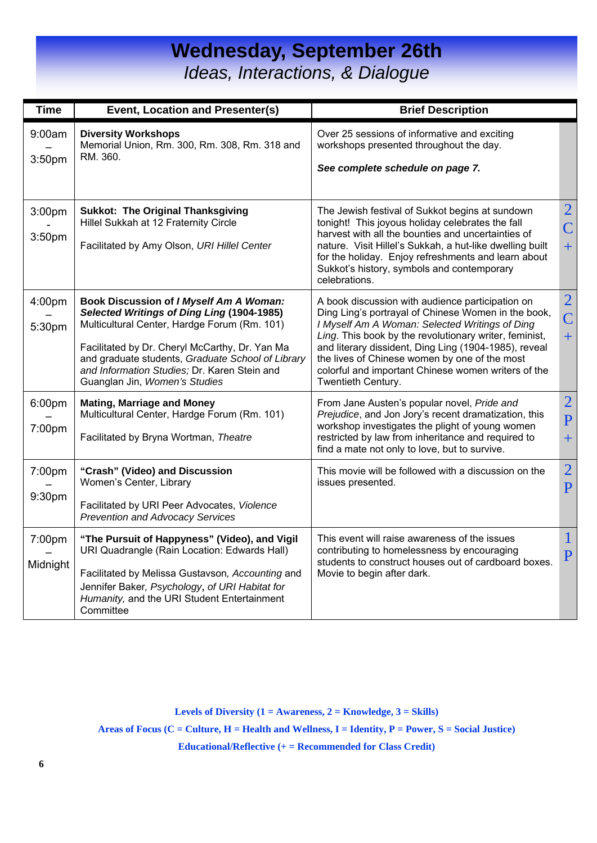### **Wednesday, September 26th**  *Ideas, Interactions, & Dialogue*

| <b>Time</b>        | Event, Location and Presenter(s)                                                                                                                                                                                                                                                                                              | <b>Brief Description</b>                                                                                                                                                                                                                                                                                                                                                                                   |                                                  |
|--------------------|-------------------------------------------------------------------------------------------------------------------------------------------------------------------------------------------------------------------------------------------------------------------------------------------------------------------------------|------------------------------------------------------------------------------------------------------------------------------------------------------------------------------------------------------------------------------------------------------------------------------------------------------------------------------------------------------------------------------------------------------------|--------------------------------------------------|
| 9:00am<br>3:50pm   | <b>Diversity Workshops</b><br>Memorial Union, Rm. 300, Rm. 308, Rm. 318 and<br>RM. 360.                                                                                                                                                                                                                                       | Over 25 sessions of informative and exciting<br>workshops presented throughout the day.<br>See complete schedule on page 7.                                                                                                                                                                                                                                                                                |                                                  |
| 3:00pm<br>3:50pm   | <b>Sukkot: The Original Thanksgiving</b><br>Hillel Sukkah at 12 Fraternity Circle<br>Facilitated by Amy Olson, URI Hillel Center                                                                                                                                                                                              | The Jewish festival of Sukkot begins at sundown<br>tonight! This joyous holiday celebrates the fall<br>harvest with all the bounties and uncertainties of<br>nature. Visit Hillel's Sukkah, a hut-like dwelling built<br>for the holiday. Enjoy refreshments and learn about<br>Sukkot's history, symbols and contemporary<br>celebrations.                                                                | $\overline{2}$<br>$\overline{\mathsf{C}}$<br>$+$ |
| 4:00pm<br>5:30pm   | Book Discussion of I Myself Am A Woman:<br>Selected Writings of Ding Ling (1904-1985)<br>Multicultural Center, Hardge Forum (Rm. 101)<br>Facilitated by Dr. Cheryl McCarthy, Dr. Yan Ma<br>and graduate students, Graduate School of Library<br>and Information Studies; Dr. Karen Stein and<br>Guanglan Jin, Women's Studies | A book discussion with audience participation on<br>Ding Ling's portrayal of Chinese Women in the book,<br>I Myself Am A Woman: Selected Writings of Ding<br>Ling. This book by the revolutionary writer, feminist,<br>and literary dissident, Ding Ling (1904-1985), reveal<br>the lives of Chinese women by one of the most<br>colorful and important Chinese women writers of the<br>Twentieth Century. | $\overline{2}$<br>$\overline{\mathsf{C}}$<br>$+$ |
| 6:00pm<br>7:00pm   | <b>Mating, Marriage and Money</b><br>Multicultural Center, Hardge Forum (Rm. 101)<br>Facilitated by Bryna Wortman, Theatre                                                                                                                                                                                                    | From Jane Austen's popular novel, Pride and<br>Prejudice, and Jon Jory's recent dramatization, this<br>workshop investigates the plight of young women<br>restricted by law from inheritance and required to<br>find a mate not only to love, but to survive.                                                                                                                                              | $\overline{2}$<br>$\overline{P}$<br>$+$          |
| 7:00pm<br>9:30pm   | "Crash" (Video) and Discussion<br>Women's Center, Library<br>Facilitated by URI Peer Advocates, Violence<br><b>Prevention and Advocacy Services</b>                                                                                                                                                                           | This movie will be followed with a discussion on the<br>issues presented.                                                                                                                                                                                                                                                                                                                                  | $\overline{2}$<br>$\overline{P}$                 |
| 7:00pm<br>Midnight | "The Pursuit of Happyness" (Video), and Vigil<br>URI Quadrangle (Rain Location: Edwards Hall)<br>Facilitated by Melissa Gustavson, Accounting and<br>Jennifer Baker, Psychology, of URI Habitat for<br>Humanity, and the URI Student Entertainment<br>Committee                                                               | This event will raise awareness of the issues<br>contributing to homelessness by encouraging<br>students to construct houses out of cardboard boxes.<br>Movie to begin after dark.                                                                                                                                                                                                                         | $\mathbf{1}$<br>$\overline{P}$                   |

**Levels of Diversity (1 = Awareness, 2 = Knowledge, 3 = Skills)** 

**Areas of Focus (C = Culture, H = Health and Wellness, I = Identity, P = Power, S = Social Justice)** 

**Educational/Reflective (+ = Recommended for Class Credit)**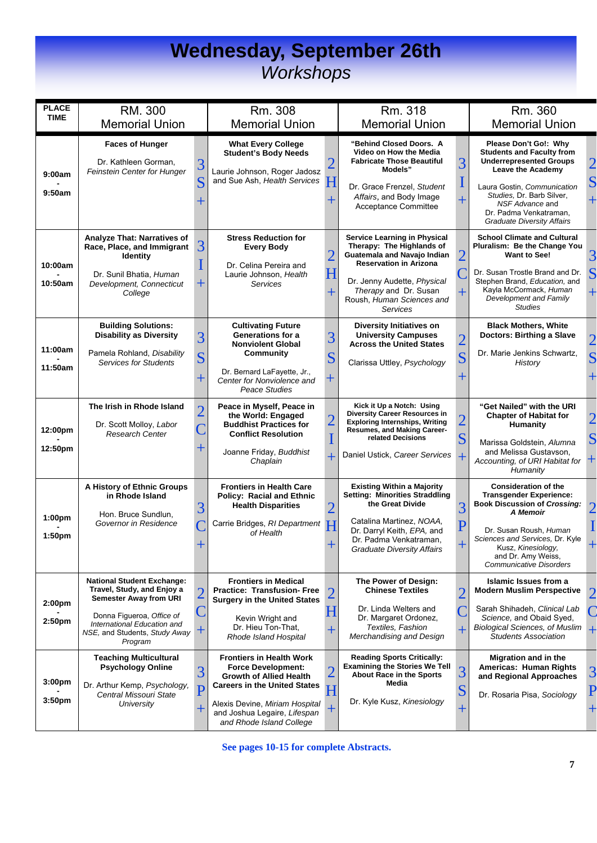#### **Wednesday, September 26th**  *Workshops*

| <b>PLACE</b><br><b>TIME</b>              | RM. 300                                                                                                                                                                                                  |                     | Rm. 308                                                                                                                                                                                                                             |                              | Rm. 318                                                                                                                                                                                                                                  |                                           | Rm. 360                                                                                                                                                                                                                                                            |                                                |
|------------------------------------------|----------------------------------------------------------------------------------------------------------------------------------------------------------------------------------------------------------|---------------------|-------------------------------------------------------------------------------------------------------------------------------------------------------------------------------------------------------------------------------------|------------------------------|------------------------------------------------------------------------------------------------------------------------------------------------------------------------------------------------------------------------------------------|-------------------------------------------|--------------------------------------------------------------------------------------------------------------------------------------------------------------------------------------------------------------------------------------------------------------------|------------------------------------------------|
|                                          | <b>Memorial Union</b>                                                                                                                                                                                    |                     | <b>Memorial Union</b>                                                                                                                                                                                                               |                              | <b>Memorial Union</b>                                                                                                                                                                                                                    |                                           | <b>Memorial Union</b>                                                                                                                                                                                                                                              |                                                |
| 9:00am<br>9:50am                         | <b>Faces of Hunger</b><br>Dr. Kathleen Gorman,<br>Feinstein Center for Hunger                                                                                                                            | 3<br>S              | <b>What Every College</b><br><b>Student's Body Needs</b><br>Laurie Johnson, Roger Jadosz<br>and Sue Ash, Health Services                                                                                                            | H                            | "Behind Closed Doors. A<br>Video on How the Media<br><b>Fabricate Those Beautiful</b><br>Models"<br>Dr. Grace Frenzel, Student<br>Affairs, and Body Image<br>Acceptance Committee                                                        | 3                                         | Please Don't Go!: Why<br><b>Students and Faculty from</b><br><b>Underrepresented Groups</b><br>Leave the Academy<br>Laura Gostin, Communication<br>Studies, Dr. Barb Silver,<br>NSF Advance and<br>Dr. Padma Venkatraman,<br><b>Graduate Diversity Affairs</b>     | $\overline{2}$<br>${\bf S}$                    |
| 10:00am<br>10:50am                       | <b>Analyze That: Narratives of</b><br>Race, Place, and Immigrant<br><b>Identity</b><br>Dr. Sunil Bhatia, Human<br>Development, Connecticut<br>College                                                    | 3                   | <b>Stress Reduction for</b><br><b>Every Body</b><br>Dr. Celina Pereira and<br>Laurie Johnson, Health<br><b>Services</b>                                                                                                             | 2<br>$\overline{\mathrm{H}}$ | <b>Service Learning in Physical</b><br>Therapy: The Highlands of<br>Guatemala and Navajo Indian<br><b>Reservation in Arizona</b><br>Dr. Jenny Audette, Physical<br>Therapy and Dr. Susan<br>Roush, Human Sciences and<br><b>Services</b> | 2                                         | <b>School Climate and Cultural</b><br>Pluralism: Be the Change You<br><b>Want to See!</b><br>Dr. Susan Trostle Brand and Dr.<br>Stephen Brand, Education, and<br>Kayla McCormack, Human<br>Development and Family<br><b>Studies</b>                                | 3<br>$\overline{\mathbf{S}}$<br>$\overline{+}$ |
| 11:00am<br>11:50am                       | <b>Building Solutions:</b><br><b>Disability as Diversity</b><br>Pamela Rohland, Disability<br><b>Services for Students</b>                                                                               | 3<br>$\mathbf S$    | <b>Cultivating Future</b><br>Generations for a<br><b>Nonviolent Global</b><br>Community<br>Dr. Bernard LaFayette, Jr.,<br>Center for Nonviolence and<br>Peace Studies                                                               | 3<br>S<br>$\pm$              | <b>Diversity Initiatives on</b><br><b>University Campuses</b><br><b>Across the United States</b><br>Clarissa Uttley, Psychology                                                                                                          | $\overline{2}$<br>$\overline{\mathbf{S}}$ | <b>Black Mothers, White</b><br>Doctors: Birthing a Slave<br>Dr. Marie Jenkins Schwartz,<br>History                                                                                                                                                                 | $\overline{2}$<br>$\overline{\mathbf{S}}$      |
| 12:00pm<br>12:50pm                       | The Irish in Rhode Island<br>Dr. Scott Molloy, Labor<br><b>Research Center</b>                                                                                                                           | $\overline{2}$      | Peace in Myself, Peace in<br>the World: Engaged<br><b>Buddhist Practices for</b><br><b>Conflict Resolution</b><br>Joanne Friday, Buddhist<br>Chaplain                                                                               | $\overline{2}$               | Kick it Up a Notch: Using<br><b>Diversity Career Resources in</b><br><b>Exploring Internships, Writing</b><br><b>Resumes, and Making Career-</b><br>related Decisions<br>Daniel Ustick, Career Services                                  | $\overline{2}$<br>S                       | "Get Nailed" with the URI<br><b>Chapter of Habitat for</b><br>Humanity<br>Marissa Goldstein, Alumna<br>and Melissa Gustavson,<br>Accounting, of URI Habitat for<br>Humanity                                                                                        | $\overline{2}$<br>S<br>十                       |
| 1:00pm<br>1:50pm                         | A History of Ethnic Groups<br>in Rhode Island<br>Hon. Bruce Sundlun,<br>Governor in Residence                                                                                                            | 3                   | <b>Frontiers in Health Care</b><br><b>Policy: Racial and Ethnic</b><br><b>Health Disparities</b><br>Carrie Bridges, RI Department<br>of Health                                                                                      | H                            | <b>Existing Within a Majority</b><br><b>Setting: Minorities Straddling</b><br>the Great Divide<br>Catalina Martinez, NOAA,<br>Dr. Darryl Keith, EPA, and<br>Dr. Padma Venkatraman,<br><b>Graduate Diversity Affairs</b>                  | 3<br>P                                    | <b>Consideration of the</b><br><b>Transgender Experience:</b><br><b>Book Discussion of Crossing:</b><br><b>A Memoir</b><br>Dr. Susan Roush, Human<br>Sciences and Services, Dr. Kyle<br>Kusz, Kinesiology,<br>and Dr. Amy Weiss,<br><b>Communicative Disorders</b> | $\overline{2}$                                 |
| 2:00 <sub>pm</sub><br>2:50 <sub>pm</sub> | <b>National Student Exchange:</b><br>Travel, Study, and Enjoy a<br><b>Semester Away from URI</b><br>Donna Figueroa, Office of<br>International Education and<br>NSE, and Students, Study Away<br>Program | $\overline{2}$<br>┿ | <b>Frontiers in Medical</b><br><b>Practice: Transfusion- Free</b><br><b>Surgery in the United States</b><br>Kevin Wright and<br>Dr. Hieu Ton-That,<br>Rhode Island Hospital                                                         | H<br>$\hspace{0.1mm} +$      | The Power of Design:<br><b>Chinese Textiles</b><br>Dr. Linda Welters and<br>Dr. Margaret Ordonez,<br>Textiles, Fashion<br>Merchandising and Design                                                                                       | $\overline{2}$<br>╈                       | Islamic Issues from a<br><b>Modern Muslim Perspective</b><br>Sarah Shihadeh, Clinical Lab<br>Science, and Obaid Syed,<br><b>Biological Sciences, of Muslim</b><br><b>Students Association</b>                                                                      | $\mathbf 2$<br>$\overline{+}$                  |
| 3:00pm<br>3:50 <sub>pm</sub>             | <b>Teaching Multicultural</b><br><b>Psychology Online</b><br>Dr. Arthur Kemp, Psychology,<br>Central Missouri State<br>University                                                                        | 3<br>P<br>╄         | <b>Frontiers in Health Work</b><br><b>Force Development:</b><br><b>Growth of Allied Health</b><br><b>Careers in the United States</b><br>Alexis Devine, Miriam Hospital<br>and Joshua Legaire, Lifespan<br>and Rhode Island College | H<br>┯                       | <b>Reading Sports Critically:</b><br><b>Examining the Stories We Tell</b><br><b>About Race in the Sports</b><br>Media<br>Dr. Kyle Kusz, Kinesiology                                                                                      | 3<br>${\bf S}$<br>┿                       | <b>Migration and in the</b><br>Americas: Human Rights<br>and Regional Approaches<br>Dr. Rosaria Pisa, Sociology                                                                                                                                                    | $\overline{3}$<br>P<br>$\pm$                   |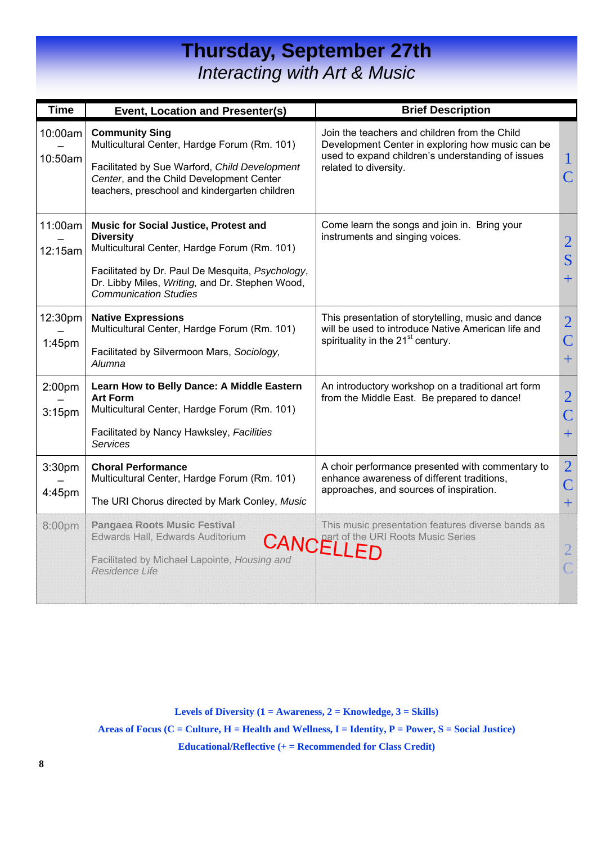### **Thursday, September 27th**  *Interacting with Art & Music*

| <b>Time</b>                              | <b>Event, Location and Presenter(s)</b>                                                                                                                                                                                                                 | <b>Brief Description</b>                                                                                                                                                        |                                                  |
|------------------------------------------|---------------------------------------------------------------------------------------------------------------------------------------------------------------------------------------------------------------------------------------------------------|---------------------------------------------------------------------------------------------------------------------------------------------------------------------------------|--------------------------------------------------|
| 10:00am<br>10:50am                       | <b>Community Sing</b><br>Multicultural Center, Hardge Forum (Rm. 101)<br>Facilitated by Sue Warford, Child Development<br>Center, and the Child Development Center<br>teachers, preschool and kindergarten children                                     | Join the teachers and children from the Child<br>Development Center in exploring how music can be<br>used to expand children's understanding of issues<br>related to diversity. | $\mathbf 1$<br>$\overline{C}$                    |
| 11:00am<br>12:15am                       | <b>Music for Social Justice, Protest and</b><br><b>Diversity</b><br>Multicultural Center, Hardge Forum (Rm. 101)<br>Facilitated by Dr. Paul De Mesquita, Psychology,<br>Dr. Libby Miles, Writing, and Dr. Stephen Wood,<br><b>Communication Studies</b> | Come learn the songs and join in. Bring your<br>instruments and singing voices.                                                                                                 | $\overline{2}$<br>S<br>$+$                       |
| 12:30pm<br>$1:45$ pm                     | <b>Native Expressions</b><br>Multicultural Center, Hardge Forum (Rm. 101)<br>Facilitated by Silvermoon Mars, Sociology,<br>Alumna                                                                                                                       | This presentation of storytelling, music and dance<br>will be used to introduce Native American life and<br>spirituality in the 21 <sup>st</sup> century.                       | $\overline{2}$<br>$\overline{\mathsf{C}}$<br>$+$ |
| 2:00 <sub>pm</sub><br>3:15 <sub>pm</sub> | Learn How to Belly Dance: A Middle Eastern<br><b>Art Form</b><br>Multicultural Center, Hardge Forum (Rm. 101)<br>Facilitated by Nancy Hawksley, Facilities<br><b>Services</b>                                                                           | An introductory workshop on a traditional art form<br>from the Middle East. Be prepared to dance!                                                                               | $\overline{2}$<br>$\overline{\mathsf{C}}$<br>$+$ |
| 3:30pm<br>4:45pm                         | <b>Choral Performance</b><br>Multicultural Center, Hardge Forum (Rm. 101)<br>The URI Chorus directed by Mark Conley, Music                                                                                                                              | A choir performance presented with commentary to<br>enhance awareness of different traditions,<br>approaches, and sources of inspiration.                                       | $\overline{2}$<br>$\overline{\mathsf{C}}$<br>$+$ |
| 8:00pm                                   | Pangaea Roots Music Festival<br>Edwards Hall, Edwards Auditorium<br>Facilitated by Michael Lapointe, Housing and<br>Residence Life                                                                                                                      | This music presentation features diverse bands as<br><b>CANCELLED</b>                                                                                                           |                                                  |

**Levels of Diversity (1 = Awareness, 2 = Knowledge, 3 = Skills)** 

**Areas of Focus (C = Culture, H = Health and Wellness, I = Identity, P = Power, S = Social Justice)** 

**Educational/Reflective (+ = Recommended for Class Credit)**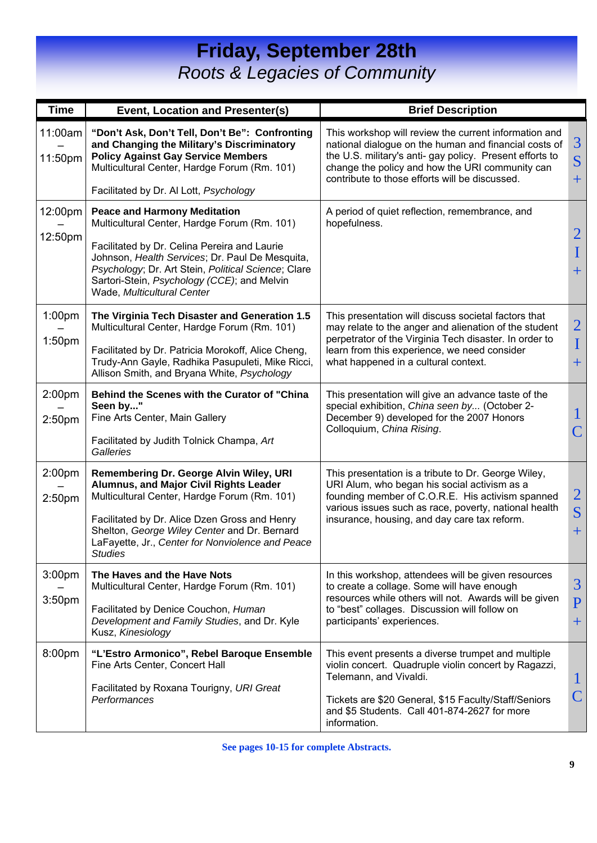## **Friday, September 28th**  *Roots & Legacies of Community*

| <b>Time</b>                              | Event, Location and Presenter(s)                                                                                                                                                                                                                                                                                           | <b>Brief Description</b>                                                                                                                                                                                                                                                        |                                         |
|------------------------------------------|----------------------------------------------------------------------------------------------------------------------------------------------------------------------------------------------------------------------------------------------------------------------------------------------------------------------------|---------------------------------------------------------------------------------------------------------------------------------------------------------------------------------------------------------------------------------------------------------------------------------|-----------------------------------------|
| 11:00am<br>11:50pm                       | "Don't Ask, Don't Tell, Don't Be": Confronting<br>and Changing the Military's Discriminatory<br><b>Policy Against Gay Service Members</b><br>Multicultural Center, Hardge Forum (Rm. 101)                                                                                                                                  | This workshop will review the current information and<br>national dialogue on the human and financial costs of<br>the U.S. military's anti- gay policy. Present efforts to<br>change the policy and how the URI community can<br>contribute to those efforts will be discussed. | 3<br>S<br>$+$                           |
|                                          | Facilitated by Dr. Al Lott, Psychology                                                                                                                                                                                                                                                                                     |                                                                                                                                                                                                                                                                                 |                                         |
| 12:00pm<br>12:50pm                       | <b>Peace and Harmony Meditation</b><br>Multicultural Center, Hardge Forum (Rm. 101)<br>Facilitated by Dr. Celina Pereira and Laurie<br>Johnson, Health Services; Dr. Paul De Mesquita,<br>Psychology, Dr. Art Stein, Political Science; Clare<br>Sartori-Stein, Psychology (CCE); and Melvin<br>Wade, Multicultural Center | A period of quiet reflection, remembrance, and<br>hopefulness.                                                                                                                                                                                                                  | $\overline{2}$<br>$\mathbf I$<br>$+$    |
| 1:00pm<br>1:50 <sub>pm</sub>             | The Virginia Tech Disaster and Generation 1.5<br>Multicultural Center, Hardge Forum (Rm. 101)<br>Facilitated by Dr. Patricia Morokoff, Alice Cheng,<br>Trudy-Ann Gayle, Radhika Pasupuleti, Mike Ricci,<br>Allison Smith, and Bryana White, Psychology                                                                     | This presentation will discuss societal factors that<br>may relate to the anger and alienation of the student<br>perpetrator of the Virginia Tech disaster. In order to<br>learn from this experience, we need consider<br>what happened in a cultural context.                 | $\overline{2}$<br>$\mathbf I$<br>$+$    |
| 2:00 <sub>pm</sub><br>2:50 <sub>pm</sub> | Behind the Scenes with the Curator of "China<br>Seen by"<br>Fine Arts Center, Main Gallery<br>Facilitated by Judith Tolnick Champa, Art<br>Galleries                                                                                                                                                                       | This presentation will give an advance taste of the<br>special exhibition, China seen by (October 2-<br>December 9) developed for the 2007 Honors<br>Colloquium, China Rising.                                                                                                  | $\mathsf C$                             |
| 2:00 <sub>pm</sub><br>2:50pm             | Remembering Dr. George Alvin Wiley, URI<br>Alumnus, and Major Civil Rights Leader<br>Multicultural Center, Hardge Forum (Rm. 101)<br>Facilitated by Dr. Alice Dzen Gross and Henry<br>Shelton, George Wiley Center and Dr. Bernard<br>LaFayette, Jr., Center for Nonviolence and Peace<br><b>Studies</b>                   | This presentation is a tribute to Dr. George Wiley,<br>URI Alum, who began his social activism as a<br>founding member of C.O.R.E. His activism spanned<br>various issues such as race, poverty, national health<br>insurance, housing, and day care tax reform.                | $\overline{2}$<br>S<br>$+$              |
| 3:00pm<br>3:50 <sub>pm</sub>             | The Haves and the Have Nots<br>Multicultural Center, Hardge Forum (Rm. 101)<br>Facilitated by Denice Couchon, Human<br>Development and Family Studies, and Dr. Kyle<br>Kusz, Kinesiology                                                                                                                                   | In this workshop, attendees will be given resources<br>to create a collage. Some will have enough<br>resources while others will not. Awards will be given<br>to "best" collages. Discussion will follow on<br>participants' experiences.                                       | 3<br>$\overline{P}$<br>$\boldsymbol{+}$ |
| 8:00pm                                   | "L'Estro Armonico", Rebel Baroque Ensemble<br>Fine Arts Center, Concert Hall<br>Facilitated by Roxana Tourigny, URI Great<br>Performances                                                                                                                                                                                  | This event presents a diverse trumpet and multiple<br>violin concert. Quadruple violin concert by Ragazzi,<br>Telemann, and Vivaldi.<br>Tickets are \$20 General, \$15 Faculty/Staff/Seniors<br>and \$5 Students. Call 401-874-2627 for more<br>information.                    | $\mathbf{I}$<br>$\mathsf C$             |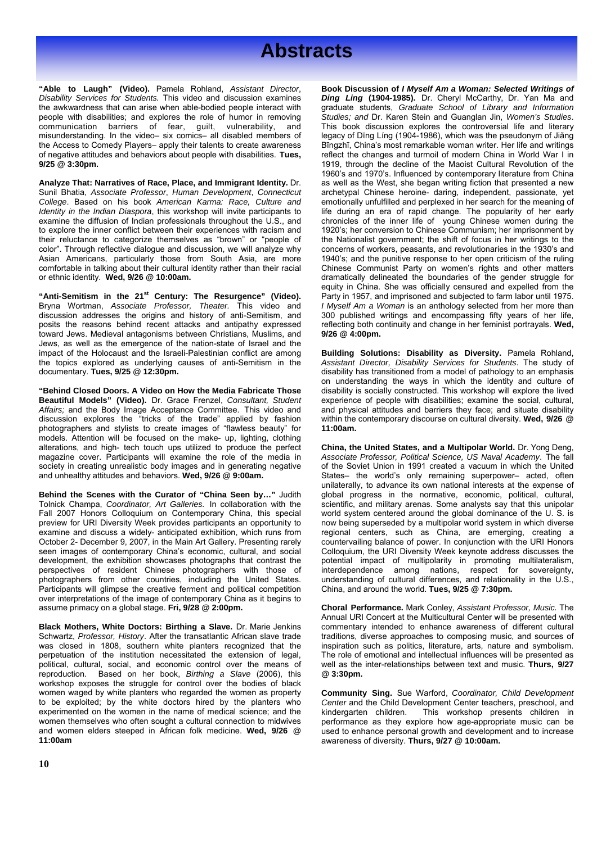**"Able to Laugh" (Video).** Pamela Rohland, *Assistant Director*, *Disability Services for Students.* This video and discussion examines the awkwardness that can arise when able-bodied people interact with people with disabilities; and explores the role of humor in removing communication barriers of fear, guilt, vulnerability, and misunderstanding. In the video– six comics– all disabled members of the Access to Comedy Players– apply their talents to create awareness of negative attitudes and behaviors about people with disabilities. **Tues, 9/25 @ 3:30pm.** 

**Analyze That: Narratives of Race, Place, and Immigrant Identity.** Dr. Sunil Bhatia, *Associate Professor*, *Human Development*, *Connecticut College*. Based on his book *American Karma: Race, Culture and Identity in the Indian Diaspora*, this workshop will invite participants to examine the diffusion of Indian professionals throughout the U.S., and to explore the inner conflict between their experiences with racism and their reluctance to categorize themselves as "brown" or "people of color". Through reflective dialogue and discussion, we will analyze why Asian Americans, particularly those from South Asia, are more comfortable in talking about their cultural identity rather than their racial or ethnic identity. **Wed, 9/26 @ 10:00am.** 

**"Anti-Semitism in the 21st Century: The Resurgence" (Video).**  Bryna Wortman, *Associate Professor, Theater.* This video and discussion addresses the origins and history of anti-Semitism, and posits the reasons behind recent attacks and antipathy expressed toward Jews. Medieval antagonisms between Christians, Muslims, and Jews, as well as the emergence of the nation-state of Israel and the impact of the Holocaust and the Israeli-Palestinian conflict are among the topics explored as underlying causes of anti-Semitism in the documentary. **Tues, 9/25 @ 12:30pm.** 

**"Behind Closed Doors. A Video on How the Media Fabricate Those Beautiful Models" (Video).** Dr. Grace Frenzel, *Consultant, Student Affairs;* and the Body Image Acceptance Committee. This video and discussion explores the "tricks of the trade" applied by fashion photographers and stylists to create images of "flawless beauty" for models. Attention will be focused on the make- up, lighting, clothing alterations, and high- tech touch ups utilized to produce the perfect magazine cover. Participants will examine the role of the media in society in creating unrealistic body images and in generating negative and unhealthy attitudes and behaviors. **Wed, 9/26 @ 9:00am.**

**Behind the Scenes with the Curator of "China Seen by…"** Judith Tolnick Champa, *Coordinator, Art Galleries.* In collaboration with the Fall 2007 Honors Colloquium on Contemporary China, this special preview for URI Diversity Week provides participants an opportunity to examine and discuss a widely- anticipated exhibition, which runs from October 2- December 9, 2007, in the Main Art Gallery. Presenting rarely seen images of contemporary China's economic, cultural, and social development, the exhibition showcases photographs that contrast the perspectives of resident Chinese photographers with those of photographers from other countries, including the United States. Participants will glimpse the creative ferment and political competition over interpretations of the image of contemporary China as it begins to assume primacy on a global stage. **Fri, 9/28 @ 2:00pm.** 

experimented on the women in the name of medical science; and the kindergarten children. This and women elders steeped in African folk medicine. Wed, 9/26 @ **used to enhance personal growth and development Black Mothers, White Doctors: Birthing a Slave.** Dr. Marie Jenkins Schwartz, *Professor, History*. After the transatlantic African slave trade was closed in 1808, southern white planters recognized that the perpetuation of the institution necessitated the extension of legal, political, cultural, social, and economic control over the means of reproduction. Based on her book, *Birthing a Slave* (2006), this workshop exposes the struggle for control over the bodies of black women waged by white planters who regarded the women as property to be exploited; by the white doctors hired by the planters who women themselves who often sought a cultural connection to midwives **11:00am** 

**Book Discussion of** *I Myself Am a Woman: Selected Writings of Ding Ling* **(1904-1985).** Dr. Cheryl McCarthy, Dr. Yan Ma and graduate students, *Graduate School of Library and Information Studies; and* Dr. Karen Stein and Guanglan Jin, *Women's Studies*. This book discussion explores the controversial life and literary legacy of Dīng Líng (1904-1986), which was the pseudonym of Jiǎng Bīngzhī, China's most remarkable woman writer. Her life and writings reflect the changes and turmoil of modern China in World War I in 1919, through the decline of the Maoist Cultural Revolution of the 1960's and 1970's. Influenced by contemporary literature from China as well as the West, she began writing fiction that presented a new archetypal Chinese heroine- daring, independent, passionate, yet emotionally unfulfilled and perplexed in her search for the meaning of life during an era of rapid change. The popularity of her early chronicles of the inner life of young Chinese women during the 1920's; her conversion to Chinese Communism; her imprisonment by the Nationalist government; the shift of focus in her writings to the concerns of workers, peasants, and revolutionaries in the 1930's and 1940's; and the punitive response to her open criticism of the ruling Chinese Communist Party on women's rights and other matters dramatically delineated the boundaries of the gender struggle for equity in China. She was officially censured and expelled from the Party in 1957, and imprisoned and subjected to farm labor until 1975. *I Myself Am a Woman* is an anthology selected from her more than 300 published writings and encompassing fifty years of her life, reflecting both continuity and change in her feminist portrayals. **Wed, 9/26 @ 4:00pm.**

**Building Solutions: Disability as Diversity.** Pamela Rohland, *Assistant Director, Disability Services for Students*. The study of disability has transitioned from a model of pathology to an emphasis on understanding the ways in which the identity and culture of disability is socially constructed. This workshop will explore the lived experience of people with disabilities; examine the social, cultural, and physical attitudes and barriers they face; and situate disability within the contemporary discourse on cultural diversity. **Wed, 9/26 @ 11:00am.** 

**China, the United States, and a Multipolar World.** Dr. Yong Deng, *Associate Professor, Political Science, US Naval Academy*. The fall of the Soviet Union in 1991 created a vacuum in which the United States– the world's only remaining superpower– acted, often unilaterally, to advance its own national interests at the expense of global progress in the normative, economic, political, cultural, scientific, and military arenas. Some analysts say that this unipolar world system centered around the global dominance of the U. S. is now being superseded by a multipolar world system in which diverse regional centers, such as China, are emerging, creating a countervailing balance of power. In conjunction with the URI Honors Colloquium, the URI Diversity Week keynote address discusses the potential impact of multipolarity in promoting multilateralism, interdependence among nations, respect for sovereignty, understanding of cultural differences, and relationality in the U.S., China, and around the world. **Tues, 9/25 @ 7:30pm.** 

**Choral Performance.** Mark Conley, *Assistant Professor, Music.* The Annual URI Concert at the Multicultural Center will be presented with commentary intended to enhance awareness of different cultural traditions, diverse approaches to composing music, and sources of inspiration such as politics, literature, arts, nature and symbolism. The role of emotional and intellectual influences will be presented as well as the inter-relationships between text and music. **Thurs, 9/27 @ 3:30pm.** 

awareness of diversity. **Thurs, 9/27 @ 10:00am. Community Sing.** Sue Warford, *Coordinator, Child Development Center* and the Child Development Center teachers, preschool, and This workshop presents children in performance as they explore how age-appropriate music can be used to enhance personal growth and development and to increase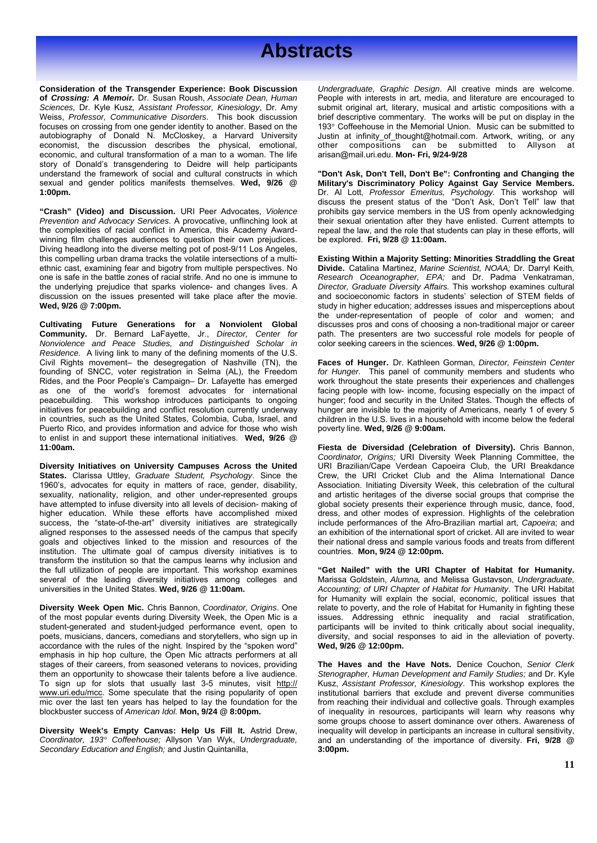**Consideration of the Transgender Experience: Book Discussion of** *Crossing: A Memoir***.** Dr. Susan Roush, *Associate Dean, Human Sciences,* Dr. Kyle Kusz*, Assistant Professor, Kinesiology*, Dr. Amy Weiss, *Professor, Communicative Disorders*. This book discussion focuses on crossing from one gender identity to another. Based on the autobiography of Donald N. McCloskey, a Harvard University economist, the discussion describes the physical, emotional, economic, and cultural transformation of a man to a woman. The life story of Donald's transgendering to Deidre will help participants understand the framework of social and cultural constructs in which sexual and gender politics manifests themselves. **Wed, 9/26 @ 1:00pm.**

**"Crash" (Video) and Discussion.** URI Peer Advocates, *Violence Prevention and Advocacy Services.* A provocative, unflinching look at the complexities of racial conflict in America, this Academy Awardwinning film challenges audiences to question their own prejudices. Diving headlong into the diverse melting pot of post-9/11 Los Angeles, this compelling urban drama tracks the volatile intersections of a multiethnic cast, examining fear and bigotry from multiple perspectives. No one is safe in the battle zones of racial strife. And no one is immune to the underlying prejudice that sparks violence- and changes lives. A discussion on the issues presented will take place after the movie. **Wed, 9/26 @ 7:00pm.** 

**Cultivating Future Generations for a Nonviolent Global Community.** Dr. Bernard LaFayette, Jr., *Director, Center for Nonviolence and Peace Studies, and Distinguished Scholar in Residence.* A living link to many of the defining moments of the U.S. Civil Rights movement– the desegregation of Nashville (TN), the founding of SNCC, voter registration in Selma (AL), the Freedom Rides, and the Poor People's Campaign– Dr. Lafayette has emerged as one of the world's foremost advocates for international peacebuilding. This workshop introduces participants to ongoing initiatives for peacebuilding and conflict resolution currently underway in countries, such as the United States, Colombia, Cuba, Israel, and Puerto Rico, and provides information and advice for those who wish to enlist in and support these international initiatives. **Wed, 9/26 @ 11:00am.** 

**Diversity Initiatives on University Campuses Across the United States.** Clarissa Uttley, *Graduate Student, Psychology*. Since the 1960's, advocates for equity in matters of race, gender, disability, sexuality, nationality, religion, and other under-represented groups have attempted to infuse diversity into all levels of decision- making of higher education. While these efforts have accomplished mixed success, the "state-of-the-art" diversity initiatives are strategically aligned responses to the assessed needs of the campus that specify goals and objectives linked to the mission and resources of the institution. The ultimate goal of campus diversity initiatives is to transform the institution so that the campus learns why inclusion and the full utilization of people are important. This workshop examines several of the leading diversity initiatives among colleges and universities in the United States. **Wed, 9/26 @ 11:00am.**

**Diversity Week Open Mic.** Chris Bannon, *Coordinator, Origins*. One of the most popular events during Diversity Week, the Open Mic is a student-generated and student-judged performance event, open to poets, musicians, dancers, comedians and storytellers, who sign up in accordance with the rules of the night. Inspired by the "spoken word" emphasis in hip hop culture, the Open Mic attracts performers at all stages of their careers, from seasoned veterans to novices, providing them an opportunity to showcase their talents before a live audience. To sign up for slots that usually last 3-5 minutes, visit http:// www.uri.edu/mcc. Some speculate that the rising popularity of open mic over the last ten years has helped to lay the foundation for the blockbuster success of *American Idol.* **Mon, 9/24 @ 8:00pm.** 

**See pages 200pm.**<br> **12.00pm. Diversity Week's Empty Canvas: Help Us Fill It.** Astrid Drew, *Coordinator, 193° Coffeehouse;* Allyson Van Wyk, *Undergraduate, Secondary Education and English;* and Justin Quintanilla,

 *Undergraduate, Graphic Design*. All creative minds are welcome. People with interests in art, media, and literature are encouraged to submit original art, literary, musical and artistic compositions with a brief descriptive commentary. The works will be put on display in the 193° Coffeehouse in the Memorial Union. Music can be submitted to Justin at infinity\_of\_thought@hotmail.com. Artwork, writing, or any other compositions can be submitted to Allyson at arisan@mail.uri.edu. **Mon- Fri, 9/24-9/28** 

**"Don't Ask, Don't Tell, Don't Be": Confronting and Changing the Military's Discriminatory Policy Against Gay Service Members.**  Dr. Al Lott, *Professor Emeritus, Psychology.* This workshop will discuss the present status of the "Don't Ask, Don't Tell" law that prohibits gay service members in the US from openly acknowledging their sexual orientation after they have enlisted. Current attempts to repeal the law, and the role that students can play in these efforts, will be explored. **Fri, 9/28 @ 11:00am.** 

**Existing Within a Majority Setting: Minorities Straddling the Great Divide.** Catalina Martinez, *Marine Scientist, NOAA;* Dr. Darryl Keith*, Research Oceanographer, EPA;* and Dr. Padma Venkatraman, *Director, Graduate Diversity Affairs.* This workshop examines cultural and socioeconomic factors in students' selection of STEM fields of study in higher education; addresses issues and misperceptions about the under-representation of people of color and women; and discusses pros and cons of choosing a non-traditional major or career path. The presenters are two successful role models for people of color seeking careers in the sciences. **Wed, 9/26 @ 1:00pm.** 

**Faces of Hunger.** Dr. Kathleen Gorman, *Director, Feinstein Center for Hunger.* This panel of community members and students who work throughout the state presents their experiences and challenges facing people with low- income, focusing especially on the impact of hunger; food and security in the United States. Though the effects of hunger are invisible to the majority of Americans, nearly 1 of every 5 children in the U.S. lives in a household with income below the federal poverty line. **Wed, 9/26 @ 9:00am.** 

**Fiesta de Diversidad (Celebration of Diversity).** Chris Bannon, *Coordinator, Origins;* URI Diversity Week Planning Committee, the URI Brazilian/Cape Verdean Capoeira Club, the URI Breakdance Crew, the URI Cricket Club and the Alima International Dance Association. Initiating Diversity Week, this celebration of the cultural and artistic heritages of the diverse social groups that comprise the global society presents their experience through music, dance, food, dress, and other modes of expression. Highlights of the celebration include performances of the Afro-Brazilian martial art, *Capoeira*; and an exhibition of the international sport of cricket. All are invited to wear their national dress and sample various foods and treats from different countries. **Mon, 9/24 @ 12:00pm.** 

**"Get Nailed" with the URI Chapter of Habitat for Humanity.**  Marissa Goldstein, *Alumna,* and Melissa Gustavson, *Undergraduate, Accounting; of URI Chapter of Habitat for Humanity*. The URI Habitat for Humanity will explain the social, economic, political issues that relate to poverty, and the role of Habitat for Humanity in fighting these issues. Addressing ethnic inequality and racial stratification, participants will be invited to think critically about social inequality, diversity, and social responses to aid in the alleviation of poverty. **Wed, 9/26 @ 12:00pm.** 

**The Haves and the Have Nots.** Denice Couchon, *Senior Clerk Stenographer, Human Development and Family Studies;* and Dr. Kyle Kusz, *Assistant Professor, Kinesiology*. This workshop explores the institutional barriers that exclude and prevent diverse communities from reaching their individual and collective goals. Through examples of inequality in resources, participants will learn why reasons why some groups choose to assert dominance over others. Awareness of inequality will develop in participants an increase in cultural sensitivity, and an understanding of the importance of diversity. **Fri, 9/28 @**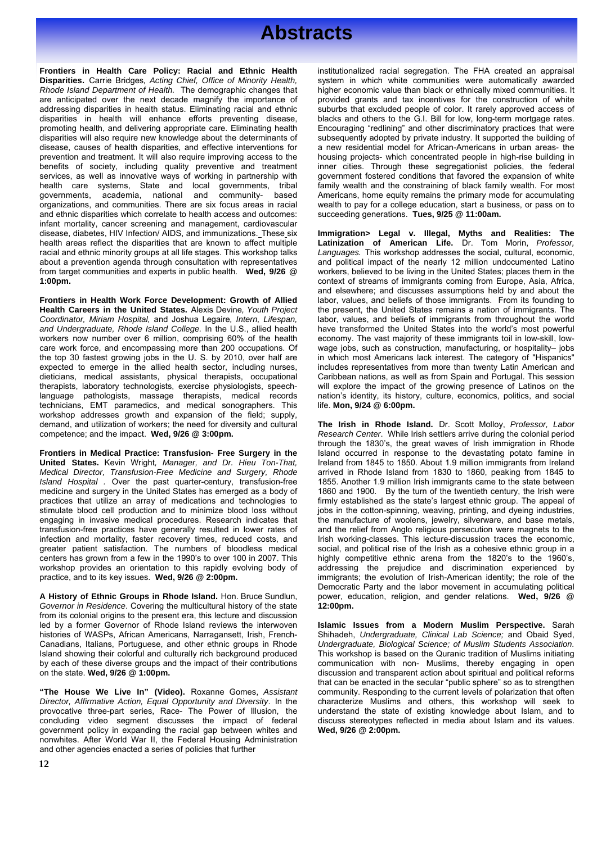**Frontiers in Health Care Policy: Racial and Ethnic Health Disparities.** Carrie Bridges*, Acting Chief, Office of Minority Health, Rhode Island Department of Health.* The demographic changes that are anticipated over the next decade magnify the importance of addressing disparities in health status. Eliminating racial and ethnic disparities in health will enhance efforts preventing disease, promoting health, and delivering appropriate care. Eliminating health disparities will also require new knowledge about the determinants of disease, causes of health disparities, and effective interventions for prevention and treatment. It will also require improving access to the benefits of society, including quality preventive and treatment services, as well as innovative ways of working in partnership with health care systems, State and local governments, tribal governments, academia, national and community- based organizations, and communities. There are six focus areas in racial and ethnic disparities which correlate to health access and outcomes: infant mortality, cancer screening and management, cardiovascular disease, diabetes, HIV Infection/ AIDS, and immunizations. These six health areas reflect the disparities that are known to affect multiple racial and ethnic minority groups at all life stages. This workshop talks about a prevention agenda through consultation with representatives from target communities and experts in public health. **Wed, 9/26 @ 1:00pm.**

**Frontiers in Health Work Force Development: Growth of Allied Health Careers in the United States.** Alexis Devine*, Youth Project Coordinator, Miriam Hospital,* and Joshua Legaire*, Intern, Lifespan, and Undergraduate, Rhode Island College.* In the U.S., allied health workers now number over 6 million, comprising 60% of the health care work force, and encompassing more than 200 occupations. Of the top 30 fastest growing jobs in the U. S. by 2010, over half are expected to emerge in the allied health sector, including nurses, dieticians, medical assistants, physical therapists, occupational therapists, laboratory technologists, exercise physiologists, speechlanguage pathologists, massage therapists, medical records technicians, EMT paramedics, and medical sonographers. This workshop addresses growth and expansion of the field; supply, demand, and utilization of workers; the need for diversity and cultural competence; and the impact. **Wed, 9/26 @ 3:00pm.**

**Frontiers in Medical Practice: Transfusion- Free Surgery in the United States.** Kevin Wright*, Manager, and Dr. Hieu Ton-That, Medical Director, Transfusion-Free Medicine and Surgery, Rhode Island Hospital .* Over the past quarter-century, transfusion-free medicine and surgery in the United States has emerged as a body of practices that utilize an array of medications and technologies to stimulate blood cell production and to minimize blood loss without engaging in invasive medical procedures. Research indicates that transfusion-free practices have generally resulted in lower rates of infection and mortality, faster recovery times, reduced costs, and greater patient satisfaction. The numbers of bloodless medical centers has grown from a few in the 1990's to over 100 in 2007. This workshop provides an orientation to this rapidly evolving body of practice, and to its key issues. **Wed, 9/26 @ 2:00pm.**

**A History of Ethnic Groups in Rhode Island.** Hon. Bruce Sundlun, *Governor in Residence*. Covering the multicultural history of the state from its colonial origins to the present era, this lecture and discussion led by a former Governor of Rhode Island reviews the interwoven histories of WASPs, African Americans, Narragansett, Irish, French-Canadians, Italians, Portuguese, and other ethnic groups in Rhode Island showing their colorful and culturally rich background produced by each of these diverse groups and the impact of their contributions on the state. **Wed, 9/26 @ 1:00pm.** 

provocative three-part series, Race- The Power of Illusion, the understand the state of existin government policy in expanding the racial gap between whites and **Wed, 9/26 @ 2:00pm. Educational/Reflective (+ = Recommended for Class Credit)**  and other agencies enacted a series of policies that further **"The House We Live In" (Video).** Roxanne Gomes, *Assistant Director, Affirmative Action, Equal Opportunity and Diversity*. In the concluding video segment discusses the impact of federal nonwhites. After World War II, the Federal Housing Administration

 institutionalized racial segregation. The FHA created an appraisal system in which white communities were automatically awarded higher economic value than black or ethnically mixed communities. It provided grants and tax incentives for the construction of white suburbs that excluded people of color. It rarely approved access of blacks and others to the G.I. Bill for low, long-term mortgage rates. Encouraging "redlining" and other discriminatory practices that were subsequently adopted by private industry. It supported the building of a new residential model for African-Americans in urban areas- the housing projects- which concentrated people in high-rise building in inner cities. Through these segregationist policies, the federal government fostered conditions that favored the expansion of white family wealth and the constraining of black family wealth. For most Americans, home equity remains the primary mode for accumulating wealth to pay for a college education, start a business, or pass on to succeeding generations. **Tues, 9/25 @ 11:00am.**

**Immigration> Legal v. Illegal, Myths and Realities: The Latinization of American Life.** Dr. Tom Morin, *Professor, Languages.* This workshop addresses the social, cultural, economic, and political impact of the nearly 12 million undocumented Latino workers, believed to be living in the United States; places them in the context of streams of immigrants coming from Europe, Asia, Africa, and elsewhere; and discusses assumptions held by and about the labor, values, and beliefs of those immigrants. From its founding to the present, the United States remains a nation of immigrants. The labor, values, and beliefs of immigrants from throughout the world have transformed the United States into the world's most powerful economy. The vast majority of these immigrants toil in low-skill, lowwage jobs, such as construction, manufacturing, or hospitality- jobs in which most Americans lack interest. The category of "Hispanics" includes representatives from more than twenty Latin American and Caribbean nations, as well as from Spain and Portugal. This session will explore the impact of the growing presence of Latinos on the nation's identity, its history, culture, economics, politics, and social life. **Mon, 9/24 @ 6:00pm.** 

**The Irish in Rhode Island.** Dr. Scott Molloy, *Professor, Labor Research Center*. While Irish settlers arrive during the colonial period through the 1830's, the great waves of Irish immigration in Rhode Island occurred in response to the devastating potato famine in Ireland from 1845 to 1850. About 1.9 million immigrants from Ireland arrived in Rhode Island from 1830 to 1860, peaking from 1845 to 1855. Another 1.9 million Irish immigrants came to the state between 1860 and 1900. By the turn of the twentieth century, the Irish were firmly established as the state's largest ethnic group. The appeal of jobs in the cotton-spinning, weaving, printing, and dyeing industries, the manufacture of woolens, jewelry, silverware, and base metals, and the relief from Anglo religious persecution were magnets to the Irish working-classes. This lecture-discussion traces the economic, social, and political rise of the Irish as a cohesive ethnic group in a highly competitive ethnic arena from the 1820's to the 1960's, addressing the prejudice and discrimination experienced by immigrants; the evolution of Irish-American identity; the role of the Democratic Party and the labor movement in accumulating political power, education, religion, and gender relations. **Wed, 9/26 @ 12:00pm.** 

**Islamic Issues from a Modern Muslim Perspective.** Sarah Shihadeh, *Undergraduate, Clinical Lab Science;* and Obaid Syed, *Undergraduate, Biological Science; of Muslim Students Association.* This workshop is based on the Quranic tradition of Muslims initiating communication with non- Muslims, thereby engaging in open discussion and transparent action about spiritual and political reforms that can be enacted in the secular "public sphere" so as to strengthen community. Responding to the current levels of polarization that often characterize Muslims and others, this workshop will seek to understand the state of existing knowledge about Islam, and to discuss stereotypes reflected in media about Islam and its values. **Wed, 9/26 @ 2:00pm.**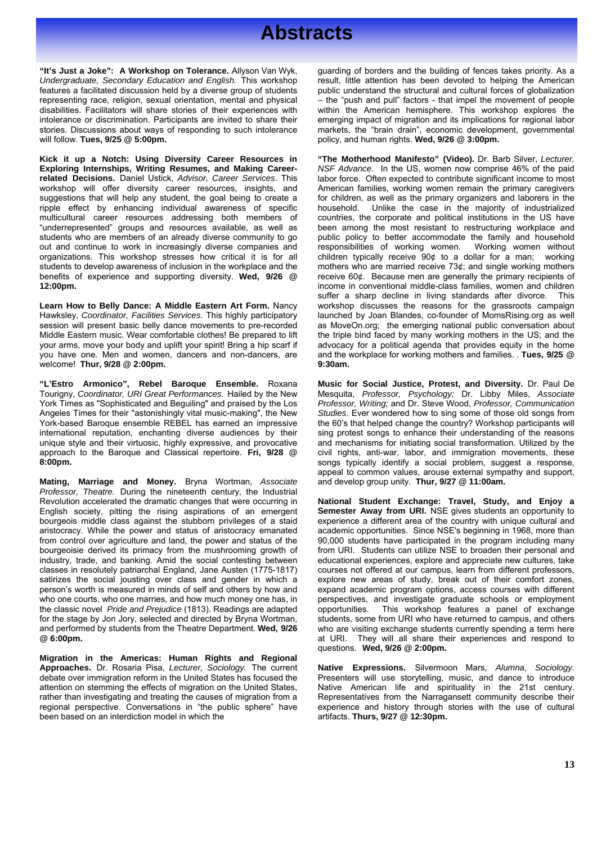**"It's Just a Joke": A Workshop on Tolerance.** Allyson Van Wyk, *Undergraduate, Secondary Education and English.* This workshop features a facilitated discussion held by a diverse group of students representing race, religion, sexual orientation, mental and physical disabilities. Facilitators will share stories of their experiences with intolerance or discrimination. Participants are invited to share their stories. Discussions about ways of responding to such intolerance will follow. **Tues, 9/25 @ 5:00pm.**

**Kick it up a Notch: Using Diversity Career Resources in Exploring Internships, Writing Resumes, and Making Careerrelated Decisions.** Daniel Ustick, *Advisor, Career Services*. This workshop will offer diversity career resources, insights, and suggestions that will help any student, the goal being to create a ripple effect by enhancing individual awareness of specific multicultural career resources addressing both members of "underrepresented" groups and resources available, as well as students who are members of an already diverse community to go out and continue to work in increasingly diverse companies and organizations. This workshop stresses how critical it is for all students to develop awareness of inclusion in the workplace and the benefits of experience and supporting diversity. **Wed, 9/26 @ 12:00pm.** 

**Learn How to Belly Dance: A Middle Eastern Art Form.** Nancy Hawksley, *Coordinator, Facilities Services.* This highly participatory session will present basic belly dance movements to pre-recorded Middle Eastern music. Wear comfortable clothes! Be prepared to lift your arms, move your body and uplift your spirit! Bring a hip scarf if you have one. Men and women, dancers and non-dancers, are welcome! **Thur, 9/28 @ 2:00pm.** 

**"L'Estro Armonico", Rebel Baroque Ensemble.** Roxana Tourigny, *Coordinator, URI Great Performances.* Hailed by the New York Times as "Sophisticated and Beguiling" and praised by the Los Angeles Times for their "astonishingly vital music-making", the New York-based Baroque ensemble REBEL has earned an impressive international reputation, enchanting diverse audiences by their unique style and their virtuosic, highly expressive, and provocative approach to the Baroque and Classical repertoire. **Fri, 9/28 @ 8:00pm.** 

**Mating, Marriage and Money.** Bryna Wortman, *Associate Professor, Theatre.* During the nineteenth century, the Industrial Revolution accelerated the dramatic changes that were occurring in English society, pitting the rising aspirations of an emergent bourgeois middle class against the stubborn privileges of a staid aristocracy. While the power and status of aristocracy emanated from control over agriculture and land, the power and status of the bourgeoisie derived its primacy from the mushrooming growth of industry, trade, and banking. Amid the social contesting between classes in resolutely patriarchal England, Jane Austen (1775-1817) satirizes the social jousting over class and gender in which a person's worth is measured in minds of self and others by how and who one courts, who one marries, and how much money one has, in the classic novel *Pride and Prejudice* (1813). Readings are adapted for the stage by Jon Jory, selected and directed by Bryna Wortman, and performed by students from the Theatre Department. **Wed, 9/26 @ 6:00pm.**

**Migration in the Americas: Human Rights and Regional Approaches.** Dr. Rosaria Pisa, *Lecturer, Sociology.* The current debate over immigration reform in the United States has focused the attention on stemming the effects of migration on the United States, rather than investigating and treating the causes of migration from a regional perspective. Conversations in "the public sphere" have been based on an interdiction model in which the

guarding of borders and the building of fences takes priority. As a result, little attention has been devoted to helping the American public understand the structural and cultural forces of globalization – the "push and pull" factors - that impel the movement of people within the American hemisphere. This workshop explores the emerging impact of migration and its implications for regional labor markets, the "brain drain", economic development, governmental policy, and human rights. **Wed, 9/26 @ 3:00pm.**

**"The Motherhood Manifesto" (Video).** Dr. Barb Silver, *Lecturer, NSF Advance*. In the US, women now comprise 46% of the paid labor force. Often expected to contribute significant income to most American families, working women remain the primary caregivers for children, as well as the primary organizers and laborers in the household. Unlike the case in the majority of industrialized countries, the corporate and political institutions in the US have been among the most resistant to restructuring workplace and public policy to better accommodate the family and household responsibilities of working women. Working women without responsibilities of working women. children typically receive 90¢ to a dollar for a man; working mothers who are married receive 73¢; and single working mothers receive 60¢. Because men are generally the primary recipients of income in conventional middle-class families, women and children<br>suffer a sharp decline in living standards after divorce. This suffer a sharp decline in living standards after divorce. workshop discusses the reasons for the grassroots campaign launched by Joan Blandes, co-founder of MomsRising.org as well as MoveOn.org; the emerging national public conversation about the triple bind faced by many working mothers in the US; and the advocacy for a political agenda that provides equity in the home and the workplace for working mothers and families. . **Tues, 9/25 @ 9:30am.** 

**Music for Social Justice, Protest, and Diversity.** Dr. Paul De Mesquita, *Professor, Psychology;* Dr. Libby Miles, *Associate Professor, Writing;* and Dr. Steve Wood, *Professor, Communication Studies*. Ever wondered how to sing some of those old songs from the 60's that helped change the country? Workshop participants will sing protest songs to enhance their understanding of the reasons and mechanisms for initiating social transformation. Utilized by the civil rights, anti-war, labor, and immigration movements, these songs typically identify a social problem, suggest a response, appeal to common values, arouse external sympathy and support, and develop group unity. **Thur, 9/27 @ 11:00am.** 

**National Student Exchange: Travel, Study, and Enjoy a Semester Away from URI.** NSE gives students an opportunity to experience a different area of the country with unique cultural and academic opportunities. Since NSE's beginning in 1968, more than 90,000 students have participated in the program including many from URI. Students can utilize NSE to broaden their personal and educational experiences, explore and appreciate new cultures, take courses not offered at our campus, learn from different professors, explore new areas of study, break out of their comfort zones, expand academic program options, access courses with different perspectives, and investigate graduate schools or employment opportunities. This workshop features a panel of exchange students, some from URI who have returned to campus, and others who are visiting exchange students currently spending a term here at URI. They will all share their experiences and respond to questions. **Wed, 9/26 @ 2:00pm.** 

**Native Expressions.** Silvermoon Mars, *Alumna*, *Sociology*. Presenters will use storytelling, music, and dance to introduce Native American life and spirituality in the 21st century. Representatives from the Narragansett community describe their experience and history through stories with the use of cultural artifacts. **Thurs, 9/27 @ 12:30pm.**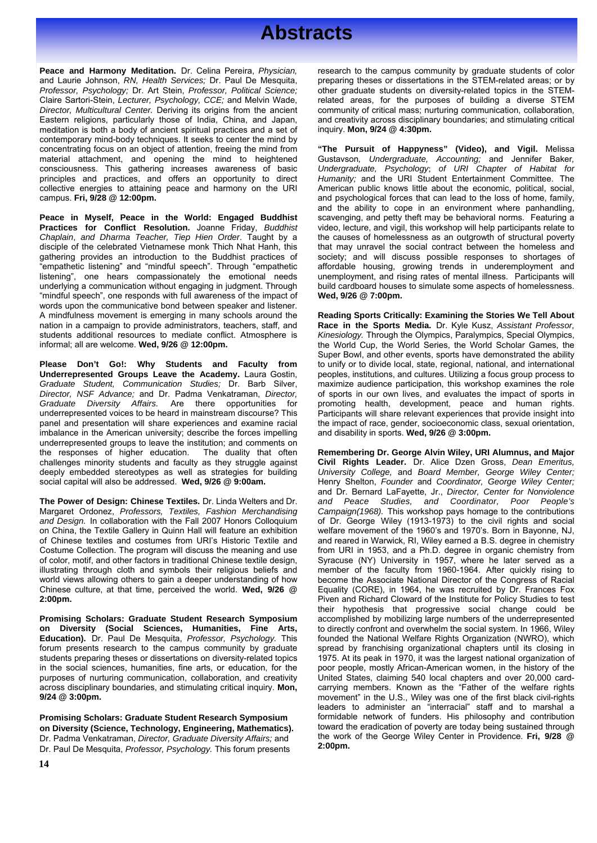

**Peace and Harmony Meditation.** Dr. Celina Pereira, *Physician,*  and Laurie Johnson, *RN, Health Services;* Dr. Paul De Mesquita, *Professor, Psychology;* Dr. Art Stein, *Professor, Political Science;* Claire Sartori-Stein, *Lecturer, Psychology, CCE;* and Melvin Wade, *Director, Multicultural Center.* Deriving its origins from the ancient Eastern religions, particularly those of India, China, and Japan, meditation is both a body of ancient spiritual practices and a set of contemporary mind-body techniques. It seeks to center the mind by concentrating focus on an object of attention, freeing the mind from material attachment, and opening the mind to heightened consciousness. This gathering increases awareness of basic principles and practices, and offers an opportunity to direct collective energies to attaining peace and harmony on the URI campus. **Fri, 9/28 @ 12:00pm.**

**Peace in Myself, Peace in the World: Engaged Buddhist Practices for Conflict Resolution.** Joanne Friday, *Buddhist Chaplain*, *and Dharma Teacher, Tiep Hien Order*. Taught by a disciple of the celebrated Vietnamese monk Thich Nhat Hanh, this gathering provides an introduction to the Buddhist practices of "empathetic listening" and "mindful speech". Through "empathetic listening", one hears compassionately the emotional needs underlying a communication without engaging in judgment. Through "mindful speech", one responds with full awareness of the impact of words upon the communicative bond between speaker and listener. A mindfulness movement is emerging in many schools around the nation in a campaign to provide administrators, teachers, staff, and students additional resources to mediate conflict. Atmosphere is informal; all are welcome. **Wed, 9/26 @ 12:00pm.** 

**Please Don't Go!: Why Students and Faculty from Underrepresented Groups Leave the Academy.** Laura Gostin, *Graduate Student, Communication Studies;* Dr. Barb Silver, *Director, NSF Advance;* and Dr. Padma Venkatraman, *Director, Graduate Diversity Affairs.* Are there opportunities for underrepresented voices to be heard in mainstream discourse? This panel and presentation will share experiences and examine racial imbalance in the American university; describe the forces impelling underrepresented groups to leave the institution; and comments on the responses of higher education. The duality that often challenges minority students and faculty as they struggle against deeply embedded stereotypes as well as strategies for building social capital will also be addressed. **Wed, 9/26 @ 9:00am.** 

**The Power of Design: Chinese Textiles.** Dr. Linda Welters and Dr. Margaret Ordonez, *Professors, Textiles, Fashion Merchandising and Design.* In collaboration with the Fall 2007 Honors Colloquium on China, the Textile Gallery in Quinn Hall will feature an exhibition of Chinese textiles and costumes from URI's Historic Textile and Costume Collection. The program will discuss the meaning and use of color, motif, and other factors in traditional Chinese textile design, illustrating through cloth and symbols their religious beliefs and world views allowing others to gain a deeper understanding of how Chinese culture, at that time, perceived the world. **Wed, 9/26 @ 2:00pm.** 

**Promising Scholars: Graduate Student Research Symposium on Diversity (Social Sciences, Humanities, Fine Arts, Education).** Dr. Paul De Mesquita, *Professor, Psychology.* This forum presents research to the campus community by graduate students preparing theses or dissertations on diversity-related topics in the social sciences, humanities, fine arts, or education, for the purposes of nurturing communication, collaboration, and creativity across disciplinary boundaries, and stimulating critical inquiry. **Mon, 9/24 @ 3:00pm.** 

**on Diversity (Science, Technology, Engineering, Mathematics).** boward the eradication of poverty are today being sus Dr. Paul De Mesquita, *Professor, Psychology*. This forum presents **2:00pm. Promising Scholars: Graduate Student Research Symposium**  Dr. Padma Venkatraman, *Director, Graduate Diversity Affairs;* and

 research to the campus community by graduate students of color preparing theses or dissertations in the STEM-related areas; or by other graduate students on diversity-related topics in the STEMrelated areas, for the purposes of building a diverse STEM community of critical mass; nurturing communication, collaboration, and creativity across disciplinary boundaries; and stimulating critical inquiry. **Mon, 9/24 @ 4:30pm.** 

**"The Pursuit of Happyness" (Video), and Vigil.** Melissa Gustavson*, Undergraduate, Accounting;* and Jennifer Baker*, Undergraduate, Psychology*; *of URI Chapter of Habitat for Humanity;* and the URI Student Entertainment Committee. The American public knows little about the economic, political, social, and psychological forces that can lead to the loss of home, family, and the ability to cope in an environment where panhandling, scavenging, and petty theft may be behavioral norms. Featuring a video, lecture, and vigil, this workshop will help participants relate to the causes of homelessness as an outgrowth of structural poverty that may unravel the social contract between the homeless and society; and will discuss possible responses to shortages of affordable housing, growing trends in underemployment and unemployment, and rising rates of mental illness. Participants will build cardboard houses to simulate some aspects of homelessness. **Wed, 9/26 @ 7:00pm.** 

**Reading Sports Critically: Examining the Stories We Tell About Race in the Sports Media.** Dr. Kyle Kusz, *Assistant Professor, Kinesiology.* Through the Olympics, Paralympics, Special Olympics, the World Cup, the World Series, the World Scholar Games, the Super Bowl, and other events, sports have demonstrated the ability to unify or to divide local, state, regional, national, and international peoples, institutions, and cultures. Utilizing a focus group process to maximize audience participation, this workshop examines the role of sports in our own lives, and evaluates the impact of sports in promoting health, development, peace and human rights. Participants will share relevant experiences that provide insight into the impact of race, gender, socioeconomic class, sexual orientation, and disability in sports. **Wed, 9/26 @ 3:00pm.** 

leaders to administer an interfactal starr and to marshar a<br>udent Research Symposium formidable network of funders. His philosophy and contribution **Remembering Dr. George Alvin Wiley, URI Alumnus, and Major Civil Rights Leader.** Dr. Alice Dzen Gross, *Dean Emeritus, University College,* and *Board Member, George Wiley Center;* Henry Shelton, *Founder* and *Coordinator, George Wiley Center;*  and Dr. Bernard LaFayette, Jr., *Director, Center for Nonviolence and Peace Studies, and Coordinator, Poor People's Campaign(1968).* This workshop pays homage to the contributions of Dr. George Wiley (1913-1973) to the civil rights and social welfare movement of the 1960's and 1970's. Born in Bayonne, NJ, and reared in Warwick, RI, Wiley earned a B.S. degree in chemistry from URI in 1953, and a Ph.D. degree in organic chemistry from Syracuse (NY) University in 1957, where he later served as a member of the faculty from 1960-1964. After quickly rising to become the Associate National Director of the Congress of Racial Equality (CORE), in 1964, he was recruited by Dr. Frances Fox Piven and Richard Cloward of the Institute for Policy Studies to test their hypothesis that progressive social change could be accomplished by mobilizing large numbers of the underrepresented to directly confront and overwhelm the social system. In 1966, Wiley founded the National Welfare Rights Organization (NWRO), which spread by franchising organizational chapters until its closing in 1975. At its peak in 1970, it was the largest national organization of poor people, mostly African-American women, in the history of the United States, claiming 540 local chapters and over 20,000 cardcarrying members. Known as the "Father of the welfare rights movement" in the U.S., Wiley was one of the first black civil-rights leaders to administer an "interracial" staff and to marshal a toward the eradication of poverty are today being sustained through the work of the George Wiley Center in Providence. **Fri, 9/28 @ 2:00pm.**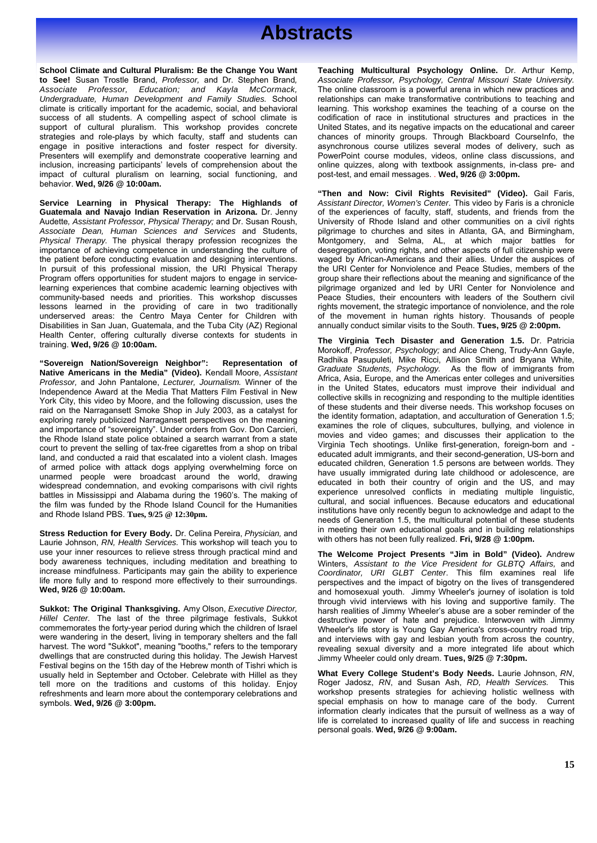**School Climate and Cultural Pluralism: Be the Change You Want to See!** Susan Trostle Brand, *Professor,* and Dr. Stephen Brand*, Associate Professor, Education; and Kayla McCormack, Undergraduate, Human Development and Family Studies.* School climate is critically important for the academic, social, and behavioral success of all students. A compelling aspect of school climate is support of cultural pluralism. This workshop provides concrete strategies and role-plays by which faculty, staff and students can engage in positive interactions and foster respect for diversity. Presenters will exemplify and demonstrate cooperative learning and inclusion, increasing participants' levels of comprehension about the impact of cultural pluralism on learning, social functioning, and behavior. **Wed, 9/26 @ 10:00am.**

**Service Learning in Physical Therapy: The Highlands of Guatemala and Navajo Indian Reservation in Arizona.** Dr. Jenny Audette*, Assistant Professor, Physical Therapy;* and Dr. Susan Roush, *Associate Dean, Human Sciences and Services* and Students, *Physical Therapy.* The physical therapy profession recognizes the importance of achieving competence in understanding the culture of the patient before conducting evaluation and designing interventions. In pursuit of this professional mission, the URI Physical Therapy Program offers opportunities for student majors to engage in servicelearning experiences that combine academic learning objectives with community-based needs and priorities. This workshop discusses lessons learned in the providing of care in two traditionally underserved areas: the Centro Maya Center for Children with Disabilities in San Juan, Guatemala, and the Tuba City (AZ) Regional Health Center, offering culturally diverse contexts for students in training. **Wed, 9/26 @ 10:00am.**

**"Sovereign Nation/Sovereign Neighbor": Representation of Native Americans in the Media" (Video).** Kendall Moore, *Assistant Professor,* and John Pantalone, *Lecturer, Journalism.* Winner of the Independence Award at the Media That Matters Film Festival in New York City, this video by Moore, and the following discussion, uses the raid on the Narragansett Smoke Shop in July 2003, as a catalyst for exploring rarely publicized Narragansett perspectives on the meaning and importance of "sovereignty". Under orders from Gov. Don Carcieri, the Rhode Island state police obtained a search warrant from a state court to prevent the selling of tax-free cigarettes from a shop on tribal land, and conducted a raid that escalated into a violent clash. Images of armed police with attack dogs applying overwhelming force on unarmed people were broadcast around the world, drawing widespread condemnation, and evoking comparisons with civil rights battles in Mississippi and Alabama during the 1960's. The making of the film was funded by the Rhode Island Council for the Humanities and Rhode Island PBS. **Tues, 9/25 @ 12:30pm.** 

**Stress Reduction for Every Body.** Dr. Celina Pereira, *Physician,* and Laurie Johnson, *RN, Health Services.* This workshop will teach you to use your inner resources to relieve stress through practical mind and body awareness techniques, including meditation and breathing to increase mindfulness. Participants may gain the ability to experience life more fully and to respond more effectively to their surroundings. **Wed, 9/26 @ 10:00am.**

**Sukkot: The Original Thanksgiving.** Amy Olson, *Executive Director, Hillel Center.* The last of the three pilgrimage festivals, Sukkot commemorates the forty-year period during which the children of Israel were wandering in the desert, living in temporary shelters and the fall harvest. The word "Sukkot", meaning "booths," refers to the temporary dwellings that are constructed during this holiday. The Jewish Harvest Festival begins on the 15th day of the Hebrew month of Tishri which is usually held in September and October. Celebrate with Hillel as they tell more on the traditions and customs of this holiday. Enjoy refreshments and learn more about the contemporary celebrations and symbols. **Wed, 9/26 @ 3:00pm.** 

 **Teaching Multicultural Psychology Online.** Dr. Arthur Kemp, *Associate Professor, Psychology, Central Missouri State University.*  The online classroom is a powerful arena in which new practices and relationships can make transformative contributions to teaching and learning. This workshop examines the teaching of a course on the codification of race in institutional structures and practices in the United States, and its negative impacts on the educational and career chances of minority groups. Through Blackboard CourseInfo, the asynchronous course utilizes several modes of delivery, such as PowerPoint course modules, videos, online class discussions, and online quizzes, along with textbook assignments, in-class pre- and post-test, and email messages. . **Wed, 9/26 @ 3:00pm.** 

**"Then and Now: Civil Rights Revisited" (Video).** Gail Faris, *Assistant Director, Women's Center*. This video by Faris is a chronicle of the experiences of faculty, staff, students, and friends from the University of Rhode Island and other communities on a civil rights pilgrimage to churches and sites in Atlanta, GA, and Birmingham, Montgomery, and Selma, AL, at which major battles for desegregation, voting rights, and other aspects of full citizenship were waged by African-Americans and their allies. Under the auspices of the URI Center for Nonviolence and Peace Studies, members of the group share their reflections about the meaning and significance of the pilgrimage organized and led by URI Center for Nonviolence and Peace Studies, their encounters with leaders of the Southern civil rights movement, the strategic importance of nonviolence, and the role of the movement in human rights history. Thousands of people annually conduct similar visits to the South. **Tues, 9/25 @ 2:00pm.**

**The Virginia Tech Disaster and Generation 1.5.** Dr. Patricia Morokoff, *Professor, Psychology;* and Alice Cheng, Trudy-Ann Gayle, Radhika Pasupuleti, Mike Ricci, Allison Smith and Bryana White, *Graduate Students, Psychology.* As the flow of immigrants from Africa, Asia, Europe, and the Americas enter colleges and universities in the United States, educators must improve their individual and collective skills in recognizing and responding to the multiple identities of these students and their diverse needs. This workshop focuses on the identity formation, adaptation, and acculturation of Generation 1.5; examines the role of cliques, subcultures, bullying, and violence in movies and video games; and discusses their application to the Virginia Tech shootings. Unlike first-generation, foreign-born and educated adult immigrants, and their second-generation, US-born and educated children, Generation 1.5 persons are between worlds. They have usually immigrated during late childhood or adolescence, are educated in both their country of origin and the US, and may experience unresolved conflicts in mediating multiple linguistic, cultural, and social influences. Because educators and educational institutions have only recently begun to acknowledge and adapt to the needs of Generation 1.5, the multicultural potential of these students in meeting their own educational goals and in building relationships with others has not been fully realized. **Fri, 9/28 @ 1:00pm.** 

**The Welcome Project Presents "Jim in Bold" (Video).** Andrew Winters, *Assistant to the Vice President for GLBTQ Affairs,* and *Coordinator, URI GLBT Center*. This film examines real life perspectives and the impact of bigotry on the lives of transgendered and homosexual youth. Jimmy Wheeler's journey of isolation is told through vivid interviews with his loving and supportive family. The harsh realities of Jimmy Wheeler's abuse are a sober reminder of the destructive power of hate and prejudice. Interwoven with Jimmy Wheeler's life story is Young Gay America's cross-country road trip, and interviews with gay and lesbian youth from across the country, revealing sexual diversity and a more integrated life about which Jimmy Wheeler could only dream. **Tues, 9/25 @ 7:30pm.** 

**What Every College Student's Body Needs.** Laurie Johnson, *RN*, Roger Jadosz, *RN*, and Susan Ash, *RD, Health Services.* This workshop presents strategies for achieving holistic wellness with special emphasis on how to manage care of the body. Current information clearly indicates that the pursuit of wellness as a way of life is correlated to increased quality of life and success in reaching personal goals. **Wed, 9/26 @ 9:00am.**